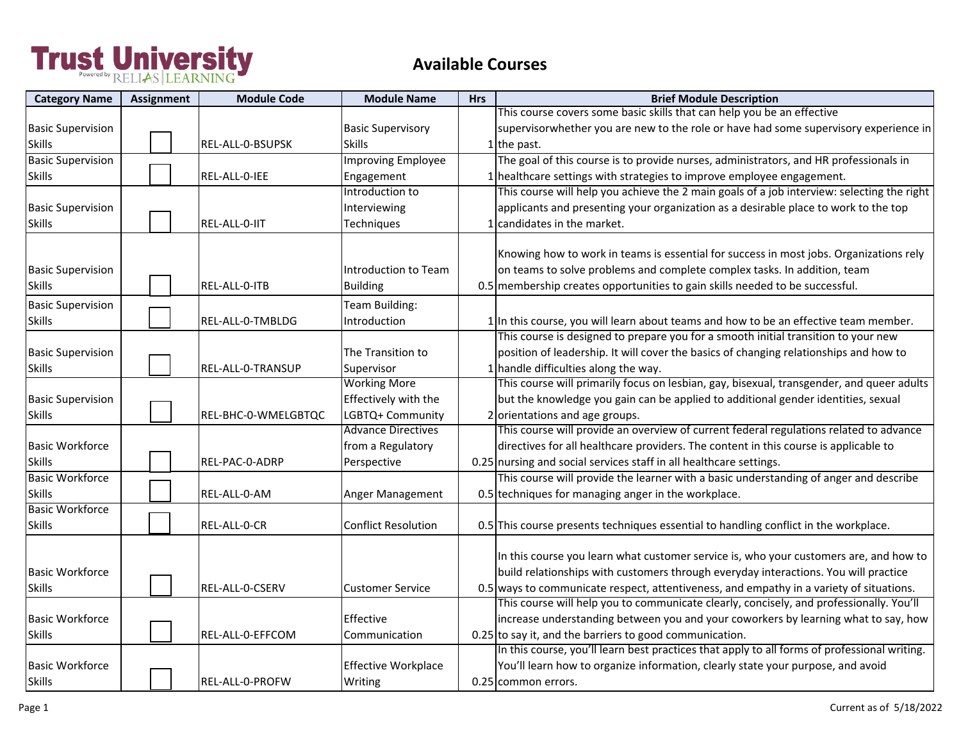| <b>Category Name</b>     | <b>Assignment</b> | <b>Module Code</b>  | <b>Module Name</b>         | <b>Hrs</b> | <b>Brief Module Description</b>                                                              |
|--------------------------|-------------------|---------------------|----------------------------|------------|----------------------------------------------------------------------------------------------|
|                          |                   |                     |                            |            | This course covers some basic skills that can help you be an effective                       |
| <b>Basic Supervision</b> |                   |                     | <b>Basic Supervisory</b>   |            | supervisorwhether you are new to the role or have had some supervisory experience in         |
| <b>Skills</b>            |                   | REL-ALL-0-BSUPSK    | <b>Skills</b>              |            | 1 the past.                                                                                  |
| <b>Basic Supervision</b> |                   |                     | Improving Employee         |            | The goal of this course is to provide nurses, administrators, and HR professionals in        |
| <b>Skills</b>            |                   | REL-ALL-0-IEE       | Engagement                 |            | 1 healthcare settings with strategies to improve employee engagement.                        |
|                          |                   |                     | Introduction to            |            | This course will help you achieve the 2 main goals of a job interview: selecting the right   |
| <b>Basic Supervision</b> |                   |                     | Interviewing               |            | applicants and presenting your organization as a desirable place to work to the top          |
| <b>Skills</b>            |                   | REL-ALL-0-IIT       | Techniques                 |            | 1 candidates in the market.                                                                  |
|                          |                   |                     |                            |            |                                                                                              |
|                          |                   |                     |                            |            | Knowing how to work in teams is essential for success in most jobs. Organizations rely       |
| <b>Basic Supervision</b> |                   |                     | Introduction to Team       |            | on teams to solve problems and complete complex tasks. In addition, team                     |
| <b>Skills</b>            |                   | REL-ALL-0-ITB       | <b>Building</b>            |            | 0.5 membership creates opportunities to gain skills needed to be successful.                 |
| <b>Basic Supervision</b> |                   |                     | Team Building:             |            |                                                                                              |
| <b>Skills</b>            |                   | REL-ALL-0-TMBLDG    | Introduction               |            | 1 In this course, you will learn about teams and how to be an effective team member.         |
|                          |                   |                     |                            |            | This course is designed to prepare you for a smooth initial transition to your new           |
| <b>Basic Supervision</b> |                   |                     | The Transition to          |            | position of leadership. It will cover the basics of changing relationships and how to        |
| <b>Skills</b>            |                   | REL-ALL-0-TRANSUP   | Supervisor                 |            | 1 handle difficulties along the way.                                                         |
|                          |                   |                     | <b>Working More</b>        |            | This course will primarily focus on lesbian, gay, bisexual, transgender, and queer adults    |
| <b>Basic Supervision</b> |                   |                     | Effectively with the       |            | but the knowledge you gain can be applied to additional gender identities, sexual            |
| <b>Skills</b>            |                   | REL-BHC-0-WMELGBTQC | LGBTQ+ Community           |            | 2 orientations and age groups.                                                               |
|                          |                   |                     | <b>Advance Directives</b>  |            | This course will provide an overview of current federal regulations related to advance       |
| <b>Basic Workforce</b>   |                   |                     | from a Regulatory          |            | directives for all healthcare providers. The content in this course is applicable to         |
| <b>Skills</b>            |                   | REL-PAC-0-ADRP      | Perspective                |            | 0.25 nursing and social services staff in all healthcare settings.                           |
| <b>Basic Workforce</b>   |                   |                     |                            |            | This course will provide the learner with a basic understanding of anger and describe        |
| <b>Skills</b>            |                   | REL-ALL-0-AM        | Anger Management           |            | 0.5 techniques for managing anger in the workplace.                                          |
| <b>Basic Workforce</b>   |                   |                     |                            |            |                                                                                              |
| <b>Skills</b>            |                   | REL-ALL-0-CR        | <b>Conflict Resolution</b> |            | 0.5 This course presents techniques essential to handling conflict in the workplace.         |
|                          |                   |                     |                            |            |                                                                                              |
|                          |                   |                     |                            |            | In this course you learn what customer service is, who your customers are, and how to        |
| <b>Basic Workforce</b>   |                   |                     |                            |            | build relationships with customers through everyday interactions. You will practice          |
| <b>Skills</b>            |                   | REL-ALL-0-CSERV     | <b>Customer Service</b>    |            | 0.5 ways to communicate respect, attentiveness, and empathy in a variety of situations.      |
|                          |                   |                     |                            |            | This course will help you to communicate clearly, concisely, and professionally. You'll      |
| <b>Basic Workforce</b>   |                   |                     | Effective                  |            | increase understanding between you and your coworkers by learning what to say, how           |
| <b>Skills</b>            |                   | REL-ALL-0-EFFCOM    | Communication              |            | 0.25 to say it, and the barriers to good communication.                                      |
|                          |                   |                     |                            |            | In this course, you'll learn best practices that apply to all forms of professional writing. |
| <b>Basic Workforce</b>   |                   |                     | <b>Effective Workplace</b> |            | You'll learn how to organize information, clearly state your purpose, and avoid              |
| <b>Skills</b>            |                   | REL-ALL-0-PROFW     | Writing                    |            | 0.25 common errors.                                                                          |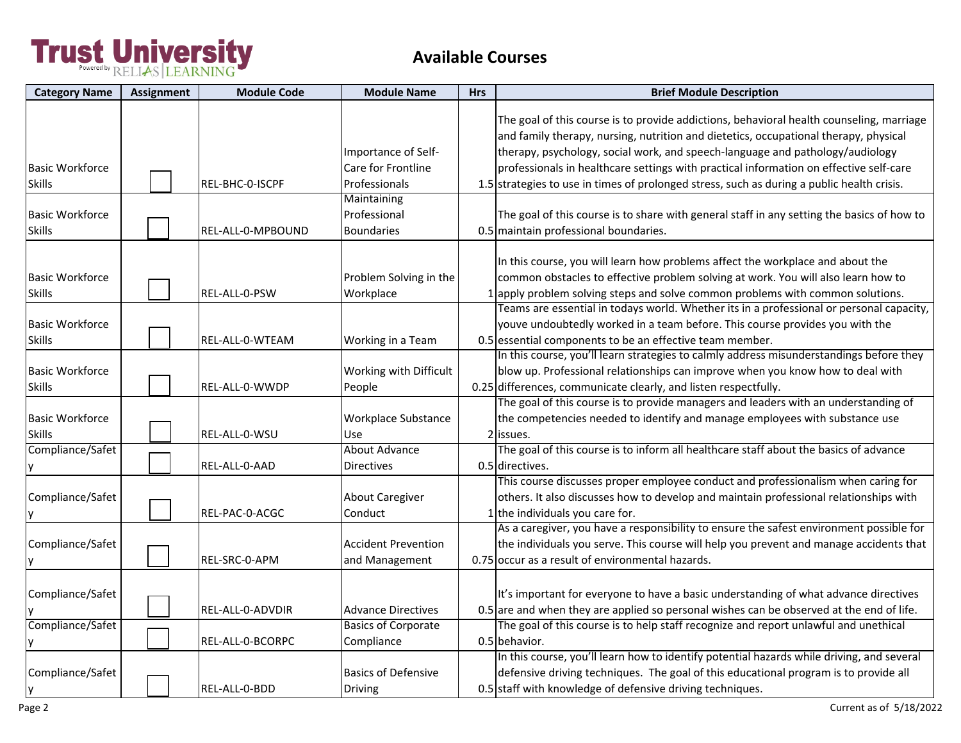| <b>Category Name</b>                    | <b>Assignment</b> | <b>Module Code</b>   | <b>Module Name</b>                                         | <b>Hrs</b> | <b>Brief Module Description</b>                                                                                                                                                                                                                                                                                                                                                                                                                           |
|-----------------------------------------|-------------------|----------------------|------------------------------------------------------------|------------|-----------------------------------------------------------------------------------------------------------------------------------------------------------------------------------------------------------------------------------------------------------------------------------------------------------------------------------------------------------------------------------------------------------------------------------------------------------|
| <b>Basic Workforce</b><br><b>Skills</b> |                   | REL-BHC-0-ISCPF      | Importance of Self-<br>Care for Frontline<br>Professionals |            | The goal of this course is to provide addictions, behavioral health counseling, marriage<br>and family therapy, nursing, nutrition and dietetics, occupational therapy, physical<br>therapy, psychology, social work, and speech-language and pathology/audiology<br>professionals in healthcare settings with practical information on effective self-care<br>1.5 strategies to use in times of prolonged stress, such as during a public health crisis. |
| <b>Basic Workforce</b><br><b>Skills</b> |                   | REL-ALL-0-MPBOUND    | Maintaining<br>Professional<br><b>Boundaries</b>           |            | The goal of this course is to share with general staff in any setting the basics of how to<br>0.5 maintain professional boundaries.                                                                                                                                                                                                                                                                                                                       |
| <b>Basic Workforce</b><br><b>Skills</b> |                   | REL-ALL-0-PSW        | Problem Solving in the<br>Workplace                        |            | In this course, you will learn how problems affect the workplace and about the<br>common obstacles to effective problem solving at work. You will also learn how to<br>lapply problem solving steps and solve common problems with common solutions.<br>Teams are essential in todays world. Whether its in a professional or personal capacity,                                                                                                          |
| <b>Basic Workforce</b><br><b>Skills</b> |                   | REL-ALL-0-WTEAM      | Working in a Team                                          |            | youve undoubtedly worked in a team before. This course provides you with the<br>0.5 essential components to be an effective team member.                                                                                                                                                                                                                                                                                                                  |
| <b>Basic Workforce</b><br><b>Skills</b> |                   | REL-ALL-0-WWDP       | Working with Difficult<br>People                           |            | In this course, you'll learn strategies to calmly address misunderstandings before they<br>blow up. Professional relationships can improve when you know how to deal with<br>0.25 differences, communicate clearly, and listen respectfully.                                                                                                                                                                                                              |
| <b>Basic Workforce</b><br><b>Skills</b> |                   | REL-ALL-0-WSU        | <b>Workplace Substance</b><br>Use                          |            | The goal of this course is to provide managers and leaders with an understanding of<br>the competencies needed to identify and manage employees with substance use<br>2 issues.                                                                                                                                                                                                                                                                           |
| Compliance/Safet                        |                   | REL-ALL-0-AAD        | <b>About Advance</b><br><b>Directives</b>                  |            | The goal of this course is to inform all healthcare staff about the basics of advance<br>0.5 directives.                                                                                                                                                                                                                                                                                                                                                  |
| Compliance/Safet                        |                   | REL-PAC-0-ACGC       | <b>About Caregiver</b><br>Conduct                          |            | This course discusses proper employee conduct and professionalism when caring for<br>others. It also discusses how to develop and maintain professional relationships with<br>1 the individuals you care for.                                                                                                                                                                                                                                             |
| Compliance/Safet                        |                   | REL-SRC-0-APM        | <b>Accident Prevention</b><br>and Management               |            | As a caregiver, you have a responsibility to ensure the safest environment possible for<br>the individuals you serve. This course will help you prevent and manage accidents that<br>0.75 occur as a result of environmental hazards.                                                                                                                                                                                                                     |
| Compliance/Safet                        |                   | REL-ALL-0-ADVDIR     | <b>Advance Directives</b>                                  |            | It's important for everyone to have a basic understanding of what advance directives<br>$0.5$ are and when they are applied so personal wishes can be observed at the end of life.                                                                                                                                                                                                                                                                        |
| Compliance/Safet                        |                   | REL-ALL-0-BCORPC     | <b>Basics of Corporate</b><br>Compliance                   |            | The goal of this course is to help staff recognize and report unlawful and unethical<br>0.5 behavior.                                                                                                                                                                                                                                                                                                                                                     |
| Compliance/Safet<br>Iy                  |                   | <b>REL-ALL-0-BDD</b> | <b>Basics of Defensive</b><br><b>Driving</b>               |            | In this course, you'll learn how to identify potential hazards while driving, and several<br>defensive driving techniques. The goal of this educational program is to provide all<br>0.5 staff with knowledge of defensive driving techniques.                                                                                                                                                                                                            |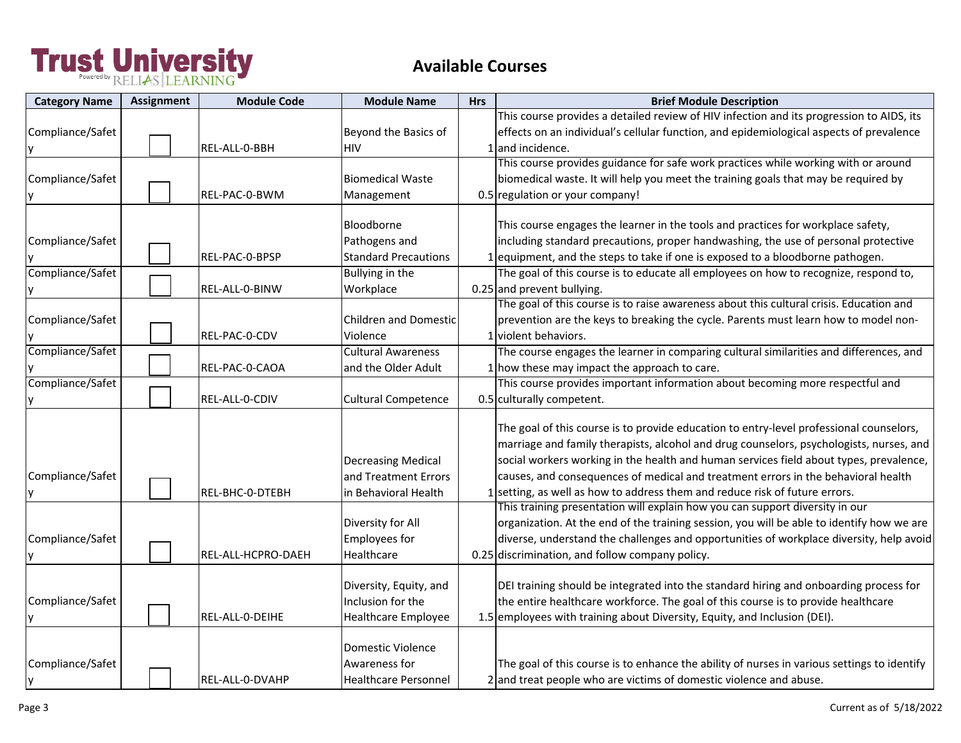| <b>Category Name</b> | <b>Assignment</b> | <b>Module Code</b> | <b>Module Name</b>          | <b>Hrs</b> | <b>Brief Module Description</b>                                                                                                                                   |
|----------------------|-------------------|--------------------|-----------------------------|------------|-------------------------------------------------------------------------------------------------------------------------------------------------------------------|
|                      |                   |                    |                             |            | This course provides a detailed review of HIV infection and its progression to AIDS, its                                                                          |
| Compliance/Safet     |                   |                    | Beyond the Basics of        |            | effects on an individual's cellular function, and epidemiological aspects of prevalence                                                                           |
|                      |                   | REL-ALL-0-BBH      | <b>HIV</b>                  |            | 1 and incidence.                                                                                                                                                  |
|                      |                   |                    |                             |            | This course provides guidance for safe work practices while working with or around                                                                                |
| Compliance/Safet     |                   |                    | <b>Biomedical Waste</b>     |            | biomedical waste. It will help you meet the training goals that may be required by                                                                                |
|                      |                   | REL-PAC-0-BWM      | Management                  |            | 0.5 regulation or your company!                                                                                                                                   |
|                      |                   |                    |                             |            |                                                                                                                                                                   |
|                      |                   |                    | Bloodborne                  |            | This course engages the learner in the tools and practices for workplace safety,                                                                                  |
| Compliance/Safet     |                   |                    | Pathogens and               |            | including standard precautions, proper handwashing, the use of personal protective                                                                                |
|                      |                   | REL-PAC-0-BPSP     | <b>Standard Precautions</b> |            | 1 equipment, and the steps to take if one is exposed to a bloodborne pathogen.                                                                                    |
| Compliance/Safet     |                   |                    | Bullying in the             |            | The goal of this course is to educate all employees on how to recognize, respond to,                                                                              |
|                      |                   | REL-ALL-0-BINW     | Workplace                   |            | 0.25 and prevent bullying.                                                                                                                                        |
|                      |                   |                    |                             |            | The goal of this course is to raise awareness about this cultural crisis. Education and                                                                           |
| Compliance/Safet     |                   |                    | Children and Domestic       |            | prevention are the keys to breaking the cycle. Parents must learn how to model non-                                                                               |
|                      |                   | REL-PAC-0-CDV      | Violence                    |            | 1 violent behaviors.                                                                                                                                              |
| Compliance/Safet     |                   |                    | <b>Cultural Awareness</b>   |            | The course engages the learner in comparing cultural similarities and differences, and                                                                            |
|                      |                   | REL-PAC-0-CAOA     | and the Older Adult         |            | 1 how these may impact the approach to care.                                                                                                                      |
| Compliance/Safet     |                   |                    |                             |            | This course provides important information about becoming more respectful and                                                                                     |
|                      |                   | REL-ALL-0-CDIV     | <b>Cultural Competence</b>  |            | 0.5 culturally competent.                                                                                                                                         |
|                      |                   |                    |                             |            |                                                                                                                                                                   |
|                      |                   |                    |                             |            | The goal of this course is to provide education to entry-level professional counselors,                                                                           |
|                      |                   |                    |                             |            | marriage and family therapists, alcohol and drug counselors, psychologists, nurses, and                                                                           |
|                      |                   |                    | <b>Decreasing Medical</b>   |            | social workers working in the health and human services field about types, prevalence,                                                                            |
| Compliance/Safet     |                   |                    | and Treatment Errors        |            | causes, and consequences of medical and treatment errors in the behavioral health                                                                                 |
|                      |                   | REL-BHC-0-DTEBH    | in Behavioral Health        |            | 1 setting, as well as how to address them and reduce risk of future errors.                                                                                       |
|                      |                   |                    |                             |            | This training presentation will explain how you can support diversity in our                                                                                      |
|                      |                   |                    | Diversity for All           |            | organization. At the end of the training session, you will be able to identify how we are                                                                         |
| Compliance/Safet     |                   |                    | <b>Employees for</b>        |            | diverse, understand the challenges and opportunities of workplace diversity, help avoid                                                                           |
|                      |                   | REL-ALL-HCPRO-DAEH | Healthcare                  |            | 0.25 discrimination, and follow company policy.                                                                                                                   |
|                      |                   |                    |                             |            |                                                                                                                                                                   |
|                      |                   |                    | Diversity, Equity, and      |            | DEI training should be integrated into the standard hiring and onboarding process for                                                                             |
| Compliance/Safet     |                   |                    | Inclusion for the           |            | the entire healthcare workforce. The goal of this course is to provide healthcare                                                                                 |
|                      |                   | REL-ALL-0-DEIHE    | <b>Healthcare Employee</b>  |            | 1.5 employees with training about Diversity, Equity, and Inclusion (DEI).                                                                                         |
|                      |                   |                    | Domestic Violence           |            |                                                                                                                                                                   |
|                      |                   |                    | Awareness for               |            |                                                                                                                                                                   |
| Compliance/Safet     |                   |                    |                             |            | The goal of this course is to enhance the ability of nurses in various settings to identify<br>2 and treat people who are victims of domestic violence and abuse. |
|                      |                   | REL-ALL-0-DVAHP    | <b>Healthcare Personnel</b> |            |                                                                                                                                                                   |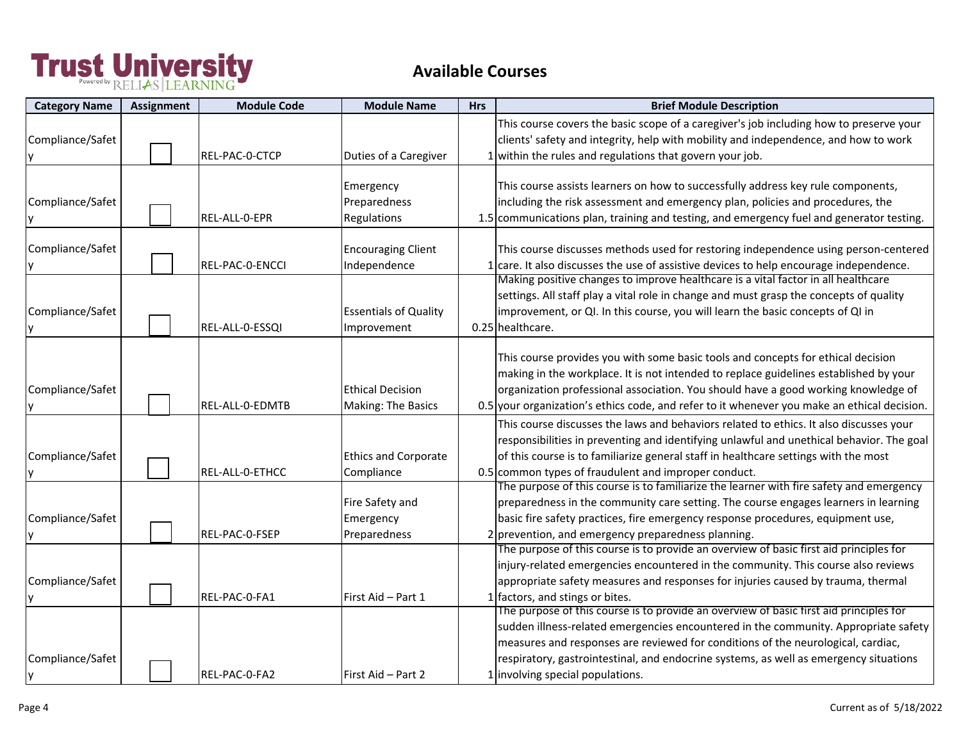| <b>Category Name</b>   | <b>Assignment</b> | <b>Module Code</b> | <b>Module Name</b>                            | <b>Hrs</b> | <b>Brief Module Description</b>                                                                                                                                                                                                                                                                                                                                                                |
|------------------------|-------------------|--------------------|-----------------------------------------------|------------|------------------------------------------------------------------------------------------------------------------------------------------------------------------------------------------------------------------------------------------------------------------------------------------------------------------------------------------------------------------------------------------------|
| Compliance/Safet       |                   | REL-PAC-0-CTCP     | Duties of a Caregiver                         |            | This course covers the basic scope of a caregiver's job including how to preserve your<br>clients' safety and integrity, help with mobility and independence, and how to work<br>1 within the rules and regulations that govern your job.                                                                                                                                                      |
| Compliance/Safet       |                   | REL-ALL-0-EPR      | Emergency<br>Preparedness<br>Regulations      |            | This course assists learners on how to successfully address key rule components,<br>including the risk assessment and emergency plan, policies and procedures, the<br>1.5 communications plan, training and testing, and emergency fuel and generator testing.                                                                                                                                 |
| Compliance/Safet<br>ΙV |                   | REL-PAC-0-ENCCI    | <b>Encouraging Client</b><br>Independence     |            | This course discusses methods used for restoring independence using person-centered<br>. care. It also discusses the use of assistive devices to help encourage independence.                                                                                                                                                                                                                  |
| Compliance/Safet       |                   | REL-ALL-0-ESSQI    | <b>Essentials of Quality</b><br>Improvement   |            | Making positive changes to improve healthcare is a vital factor in all healthcare<br>settings. All staff play a vital role in change and must grasp the concepts of quality<br>improvement, or QI. In this course, you will learn the basic concepts of QI in<br>0.25 healthcare.                                                                                                              |
| Compliance/Safet       |                   | REL-ALL-0-EDMTB    | <b>Ethical Decision</b><br>Making: The Basics |            | This course provides you with some basic tools and concepts for ethical decision<br>making in the workplace. It is not intended to replace guidelines established by your<br>organization professional association. You should have a good working knowledge of<br>0.5 your organization's ethics code, and refer to it whenever you make an ethical decision.                                 |
| Compliance/Safet       |                   | REL-ALL-0-ETHCC    | <b>Ethics and Corporate</b><br>Compliance     |            | This course discusses the laws and behaviors related to ethics. It also discusses your<br>responsibilities in preventing and identifying unlawful and unethical behavior. The goal<br>of this course is to familiarize general staff in healthcare settings with the most<br>0.5 common types of fraudulent and improper conduct.                                                              |
| Compliance/Safet       |                   | REL-PAC-0-FSEP     | Fire Safety and<br>Emergency<br>Preparedness  |            | The purpose of this course is to familiarize the learner with fire safety and emergency<br>preparedness in the community care setting. The course engages learners in learning<br>basic fire safety practices, fire emergency response procedures, equipment use,<br>2 prevention, and emergency preparedness planning.                                                                        |
| Compliance/Safet       |                   | REL-PAC-0-FA1      | First Aid - Part 1                            |            | The purpose of this course is to provide an overview of basic first aid principles for<br>injury-related emergencies encountered in the community. This course also reviews<br>appropriate safety measures and responses for injuries caused by trauma, thermal<br>1 factors, and stings or bites.                                                                                             |
| Compliance/Safet<br>y  |                   | REL-PAC-0-FA2      | First Aid - Part 2                            |            | The purpose of this course is to provide an overview of basic first aid principles for<br>sudden illness-related emergencies encountered in the community. Appropriate safety<br>measures and responses are reviewed for conditions of the neurological, cardiac,<br>respiratory, gastrointestinal, and endocrine systems, as well as emergency situations<br>1 involving special populations. |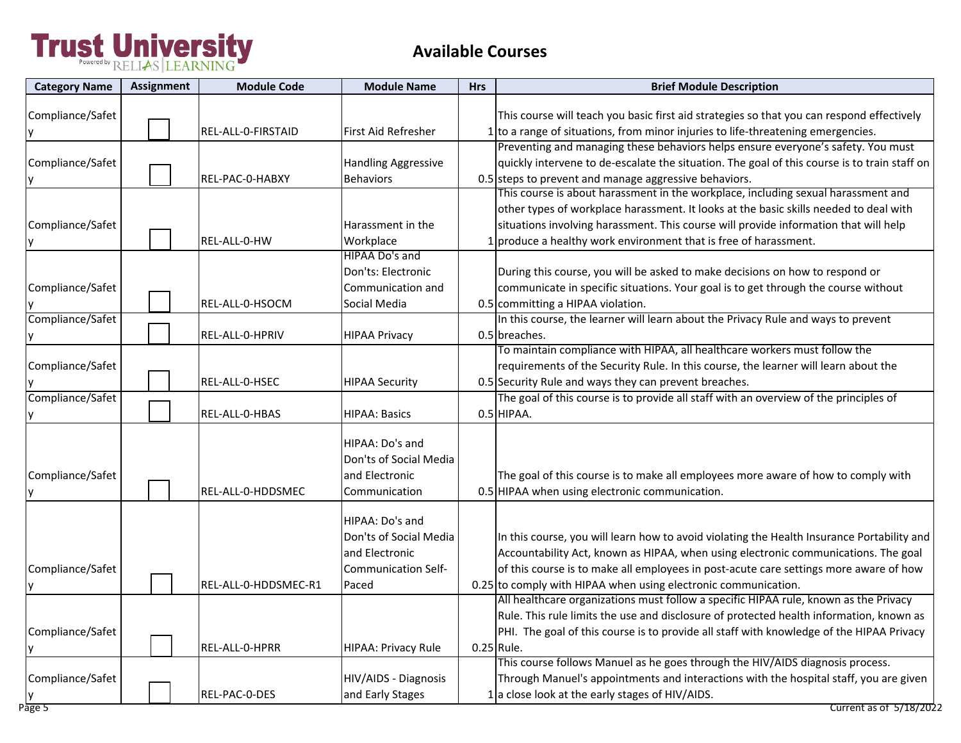| <b>Category Name</b> | Assignment | <b>Module Code</b>   | <b>Module Name</b>         | <b>Hrs</b> | <b>Brief Module Description</b>                                                              |
|----------------------|------------|----------------------|----------------------------|------------|----------------------------------------------------------------------------------------------|
|                      |            |                      |                            |            |                                                                                              |
| Compliance/Safet     |            |                      |                            |            | This course will teach you basic first aid strategies so that you can respond effectively    |
|                      |            | REL-ALL-0-FIRSTAID   | First Aid Refresher        |            | 1 to a range of situations, from minor injuries to life-threatening emergencies.             |
|                      |            |                      |                            |            | Preventing and managing these behaviors helps ensure everyone's safety. You must             |
| Compliance/Safet     |            |                      | <b>Handling Aggressive</b> |            | quickly intervene to de-escalate the situation. The goal of this course is to train staff on |
|                      |            | REL-PAC-0-HABXY      | <b>Behaviors</b>           |            | 0.5 steps to prevent and manage aggressive behaviors.                                        |
|                      |            |                      |                            |            | This course is about harassment in the workplace, including sexual harassment and            |
|                      |            |                      |                            |            | other types of workplace harassment. It looks at the basic skills needed to deal with        |
| Compliance/Safet     |            |                      | Harassment in the          |            | situations involving harassment. This course will provide information that will help         |
|                      |            | REL-ALL-0-HW         | Workplace                  |            | 1 produce a healthy work environment that is free of harassment.                             |
|                      |            |                      | HIPAA Do's and             |            |                                                                                              |
|                      |            |                      | Don'ts: Electronic         |            | During this course, you will be asked to make decisions on how to respond or                 |
| Compliance/Safet     |            |                      | Communication and          |            | communicate in specific situations. Your goal is to get through the course without           |
|                      |            | REL-ALL-0-HSOCM      | Social Media               |            | 0.5 committing a HIPAA violation.                                                            |
| Compliance/Safet     |            |                      |                            |            | In this course, the learner will learn about the Privacy Rule and ways to prevent            |
|                      |            | REL-ALL-0-HPRIV      | <b>HIPAA Privacy</b>       |            | 0.5 breaches.                                                                                |
|                      |            |                      |                            |            | To maintain compliance with HIPAA, all healthcare workers must follow the                    |
| Compliance/Safet     |            |                      |                            |            | requirements of the Security Rule. In this course, the learner will learn about the          |
|                      |            | REL-ALL-0-HSEC       | <b>HIPAA Security</b>      |            | 0.5 Security Rule and ways they can prevent breaches.                                        |
| Compliance/Safet     |            |                      |                            |            | The goal of this course is to provide all staff with an overview of the principles of        |
|                      |            | REL-ALL-0-HBAS       | <b>HIPAA: Basics</b>       |            | 0.5 HIPAA.                                                                                   |
|                      |            |                      |                            |            |                                                                                              |
|                      |            |                      | HIPAA: Do's and            |            |                                                                                              |
|                      |            |                      | Don'ts of Social Media     |            |                                                                                              |
| Compliance/Safet     |            |                      | and Electronic             |            | The goal of this course is to make all employees more aware of how to comply with            |
|                      |            | REL-ALL-0-HDDSMEC    | Communication              |            | 0.5 HIPAA when using electronic communication.                                               |
|                      |            |                      | HIPAA: Do's and            |            |                                                                                              |
|                      |            |                      | Don'ts of Social Media     |            | In this course, you will learn how to avoid violating the Health Insurance Portability and   |
|                      |            |                      | and Electronic             |            | Accountability Act, known as HIPAA, when using electronic communications. The goal           |
| Compliance/Safet     |            |                      | <b>Communication Self-</b> |            | of this course is to make all employees in post-acute care settings more aware of how        |
|                      |            | REL-ALL-0-HDDSMEC-R1 | Paced                      |            | 0.25 to comply with HIPAA when using electronic communication.                               |
|                      |            |                      |                            |            | All healthcare organizations must follow a specific HIPAA rule, known as the Privacy         |
|                      |            |                      |                            |            | Rule. This rule limits the use and disclosure of protected health information, known as      |
| Compliance/Safet     |            |                      |                            |            | PHI. The goal of this course is to provide all staff with knowledge of the HIPAA Privacy     |
|                      |            | REL-ALL-0-HPRR       | HIPAA: Privacy Rule        |            | $0.25$ Rule.                                                                                 |
|                      |            |                      |                            |            | This course follows Manuel as he goes through the HIV/AIDS diagnosis process.                |
| Compliance/Safet     |            |                      | HIV/AIDS - Diagnosis       |            | Through Manuel's appointments and interactions with the hospital staff, you are given        |
|                      |            | REL-PAC-0-DES        | and Early Stages           |            | 1 a close look at the early stages of HIV/AIDS.                                              |
| Page 5               |            |                      |                            |            | Current as of 5/18/2022                                                                      |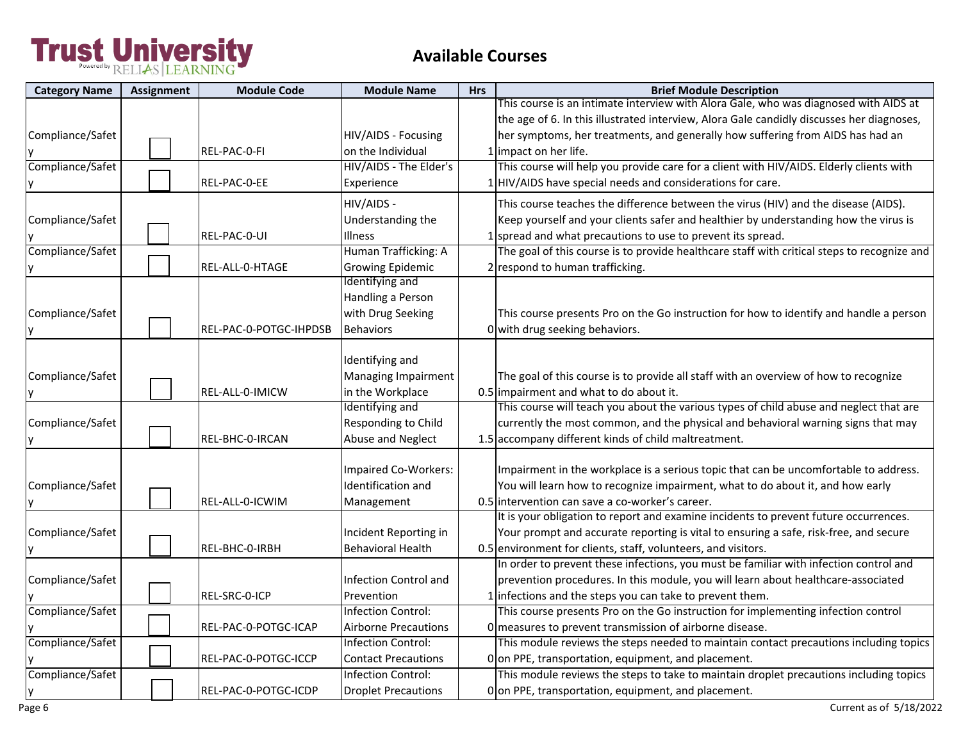### **Available Courses**

| <b>Category Name</b> | <b>Assignment</b> | <b>Module Code</b>     | <b>Module Name</b>          | <b>Hrs</b> | <b>Brief Module Description</b>                                                             |
|----------------------|-------------------|------------------------|-----------------------------|------------|---------------------------------------------------------------------------------------------|
|                      |                   |                        |                             |            | This course is an intimate interview with Alora Gale, who was diagnosed with AIDS at        |
|                      |                   |                        |                             |            | the age of 6. In this illustrated interview, Alora Gale candidly discusses her diagnoses,   |
| Compliance/Safet     |                   |                        | HIV/AIDS - Focusing         |            | her symptoms, her treatments, and generally how suffering from AIDS has had an              |
|                      |                   | REL-PAC-0-FI           | on the Individual           |            | 1 impact on her life.                                                                       |
| Compliance/Safet     |                   |                        | HIV/AIDS - The Elder's      |            | This course will help you provide care for a client with HIV/AIDS. Elderly clients with     |
| ΙY                   |                   | REL-PAC-0-EE           | Experience                  |            | 1 HIV/AIDS have special needs and considerations for care.                                  |
|                      |                   |                        | HIV/AIDS -                  |            | This course teaches the difference between the virus (HIV) and the disease (AIDS).          |
| Compliance/Safet     |                   |                        | Understanding the           |            | Keep yourself and your clients safer and healthier by understanding how the virus is        |
|                      |                   | REL-PAC-0-UI           | Illness                     |            | 1 spread and what precautions to use to prevent its spread.                                 |
| Compliance/Safet     |                   |                        | Human Trafficking: A        |            | The goal of this course is to provide healthcare staff with critical steps to recognize and |
|                      |                   | REL-ALL-0-HTAGE        | <b>Growing Epidemic</b>     |            | 2 respond to human trafficking.                                                             |
|                      |                   |                        | Identifying and             |            |                                                                                             |
|                      |                   |                        | Handling a Person           |            |                                                                                             |
| Compliance/Safet     |                   |                        | with Drug Seeking           |            | This course presents Pro on the Go instruction for how to identify and handle a person      |
|                      |                   | REL-PAC-0-POTGC-IHPDSB | <b>Behaviors</b>            |            | 0 with drug seeking behaviors.                                                              |
|                      |                   |                        |                             |            |                                                                                             |
|                      |                   |                        | Identifying and             |            |                                                                                             |
| Compliance/Safet     |                   |                        | Managing Impairment         |            | The goal of this course is to provide all staff with an overview of how to recognize        |
|                      |                   | REL-ALL-0-IMICW        | in the Workplace            |            | 0.5 impairment and what to do about it.                                                     |
|                      |                   |                        | Identifying and             |            | This course will teach you about the various types of child abuse and neglect that are      |
| Compliance/Safet     |                   |                        | Responding to Child         |            | currently the most common, and the physical and behavioral warning signs that may           |
|                      |                   | REL-BHC-0-IRCAN        | Abuse and Neglect           |            | 1.5 accompany different kinds of child maltreatment.                                        |
|                      |                   |                        |                             |            |                                                                                             |
|                      |                   |                        | Impaired Co-Workers:        |            | Impairment in the workplace is a serious topic that can be uncomfortable to address.        |
| Compliance/Safet     |                   |                        | Identification and          |            | You will learn how to recognize impairment, what to do about it, and how early              |
|                      |                   | REL-ALL-0-ICWIM        | Management                  |            | 0.5 intervention can save a co-worker's career.                                             |
|                      |                   |                        |                             |            | It is your obligation to report and examine incidents to prevent future occurrences.        |
| Compliance/Safet     |                   |                        | Incident Reporting in       |            | Your prompt and accurate reporting is vital to ensuring a safe, risk-free, and secure       |
|                      |                   | REL-BHC-0-IRBH         | <b>Behavioral Health</b>    |            | 0.5 environment for clients, staff, volunteers, and visitors.                               |
|                      |                   |                        |                             |            | In order to prevent these infections, you must be familiar with infection control and       |
| Compliance/Safet     |                   |                        | Infection Control and       |            | prevention procedures. In this module, you will learn about healthcare-associated           |
|                      |                   | REL-SRC-0-ICP          | Prevention                  |            | 1 infections and the steps you can take to prevent them.                                    |
| Compliance/Safet     |                   |                        | <b>Infection Control:</b>   |            | This course presents Pro on the Go instruction for implementing infection control           |
|                      |                   | REL-PAC-0-POTGC-ICAP   | <b>Airborne Precautions</b> |            | O measures to prevent transmission of airborne disease.                                     |
| Compliance/Safet     |                   |                        | <b>Infection Control:</b>   |            | This module reviews the steps needed to maintain contact precautions including topics       |
|                      |                   | REL-PAC-0-POTGC-ICCP   | <b>Contact Precautions</b>  |            | Oon PPE, transportation, equipment, and placement.                                          |
| Compliance/Safet     |                   |                        | Infection Control:          |            | This module reviews the steps to take to maintain droplet precautions including topics      |
| y                    |                   | REL-PAC-0-POTGC-ICDP   | <b>Droplet Precautions</b>  |            | Oon PPE, transportation, equipment, and placement.                                          |

Page 6 Current as of 5/18/2022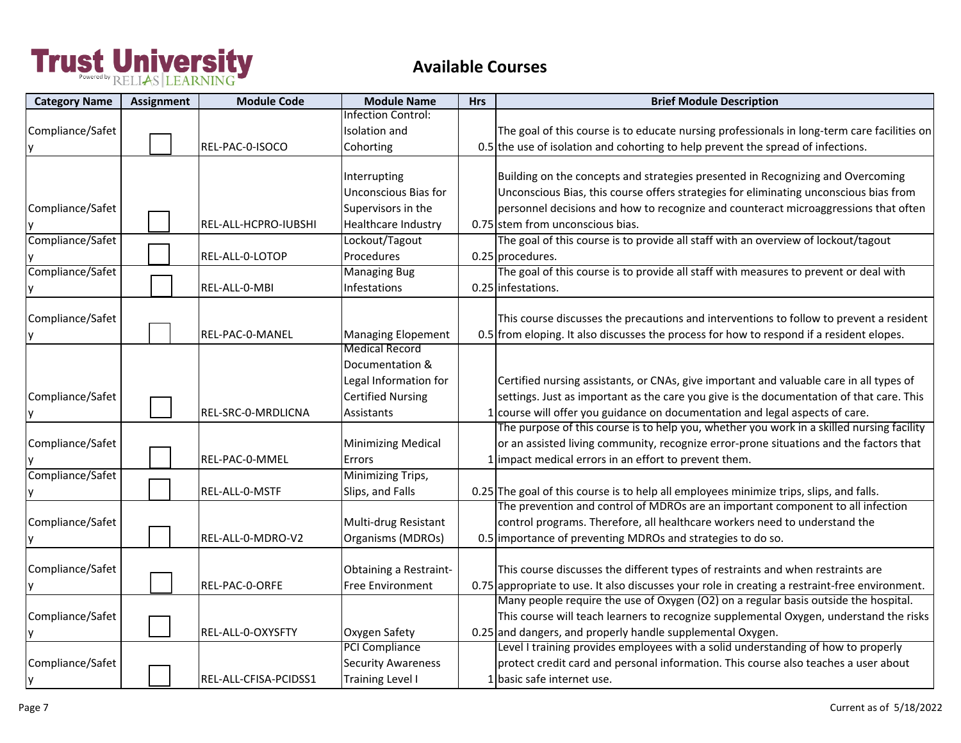| <b>Category Name</b> | <b>Assignment</b> | <b>Module Code</b>    | <b>Module Name</b>          | <b>Hrs</b> | <b>Brief Module Description</b>                                                                |
|----------------------|-------------------|-----------------------|-----------------------------|------------|------------------------------------------------------------------------------------------------|
|                      |                   |                       | Infection Control:          |            |                                                                                                |
| Compliance/Safet     |                   |                       | Isolation and               |            | The goal of this course is to educate nursing professionals in long-term care facilities on    |
|                      |                   | REL-PAC-0-ISOCO       | Cohorting                   |            | 0.5 the use of isolation and cohorting to help prevent the spread of infections.               |
|                      |                   |                       |                             |            |                                                                                                |
|                      |                   |                       | Interrupting                |            | Building on the concepts and strategies presented in Recognizing and Overcoming                |
|                      |                   |                       | <b>Unconscious Bias for</b> |            | Unconscious Bias, this course offers strategies for eliminating unconscious bias from          |
| Compliance/Safet     |                   |                       | Supervisors in the          |            | personnel decisions and how to recognize and counteract microaggressions that often            |
|                      |                   | REL-ALL-HCPRO-IUBSHI  | Healthcare Industry         |            | 0.75 stem from unconscious bias.                                                               |
| Compliance/Safet     |                   |                       | Lockout/Tagout              |            | The goal of this course is to provide all staff with an overview of lockout/tagout             |
|                      |                   | REL-ALL-0-LOTOP       | Procedures                  |            | 0.25 procedures.                                                                               |
| Compliance/Safet     |                   |                       | <b>Managing Bug</b>         |            | The goal of this course is to provide all staff with measures to prevent or deal with          |
|                      |                   | REL-ALL-0-MBI         | Infestations                |            | 0.25 infestations.                                                                             |
|                      |                   |                       |                             |            |                                                                                                |
| Compliance/Safet     |                   |                       |                             |            | This course discusses the precautions and interventions to follow to prevent a resident        |
|                      |                   | REL-PAC-0-MANEL       | <b>Managing Elopement</b>   |            | 0.5 from eloping. It also discusses the process for how to respond if a resident elopes.       |
|                      |                   |                       | <b>Medical Record</b>       |            |                                                                                                |
|                      |                   |                       | Documentation &             |            |                                                                                                |
|                      |                   |                       | Legal Information for       |            | Certified nursing assistants, or CNAs, give important and valuable care in all types of        |
| Compliance/Safet     |                   |                       | <b>Certified Nursing</b>    |            | settings. Just as important as the care you give is the documentation of that care. This       |
|                      |                   | REL-SRC-0-MRDLICNA    | Assistants                  |            | course will offer you guidance on documentation and legal aspects of care.                     |
|                      |                   |                       |                             |            | The purpose of this course is to help you, whether you work in a skilled nursing facility      |
| Compliance/Safet     |                   |                       | <b>Minimizing Medical</b>   |            | or an assisted living community, recognize error-prone situations and the factors that         |
|                      |                   | REL-PAC-0-MMEL        | Errors                      |            | impact medical errors in an effort to prevent them.                                            |
| Compliance/Safet     |                   |                       | Minimizing Trips,           |            |                                                                                                |
|                      |                   | REL-ALL-0-MSTF        | Slips, and Falls            |            | 0.25 The goal of this course is to help all employees minimize trips, slips, and falls.        |
|                      |                   |                       |                             |            | The prevention and control of MDROs are an important component to all infection                |
| Compliance/Safet     |                   |                       | Multi-drug Resistant        |            | control programs. Therefore, all healthcare workers need to understand the                     |
|                      |                   | REL-ALL-0-MDRO-V2     | Organisms (MDROs)           |            | 0.5 importance of preventing MDROs and strategies to do so.                                    |
|                      |                   |                       |                             |            |                                                                                                |
| Compliance/Safet     |                   |                       | Obtaining a Restraint-      |            | This course discusses the different types of restraints and when restraints are                |
|                      |                   | REL-PAC-0-ORFE        | Free Environment            |            | 0.75 appropriate to use. It also discusses your role in creating a restraint-free environment. |
|                      |                   |                       |                             |            | Many people require the use of Oxygen (O2) on a regular basis outside the hospital.            |
| Compliance/Safet     |                   |                       |                             |            | This course will teach learners to recognize supplemental Oxygen, understand the risks         |
|                      |                   | REL-ALL-0-OXYSFTY     | Oxygen Safety               |            | 0.25 and dangers, and properly handle supplemental Oxygen.                                     |
|                      |                   |                       | PCI Compliance              |            | Level I training provides employees with a solid understanding of how to properly              |
| Compliance/Safet     |                   |                       | <b>Security Awareness</b>   |            | protect credit card and personal information. This course also teaches a user about            |
|                      |                   | REL-ALL-CFISA-PCIDSS1 | Training Level I            |            | 1 basic safe internet use.                                                                     |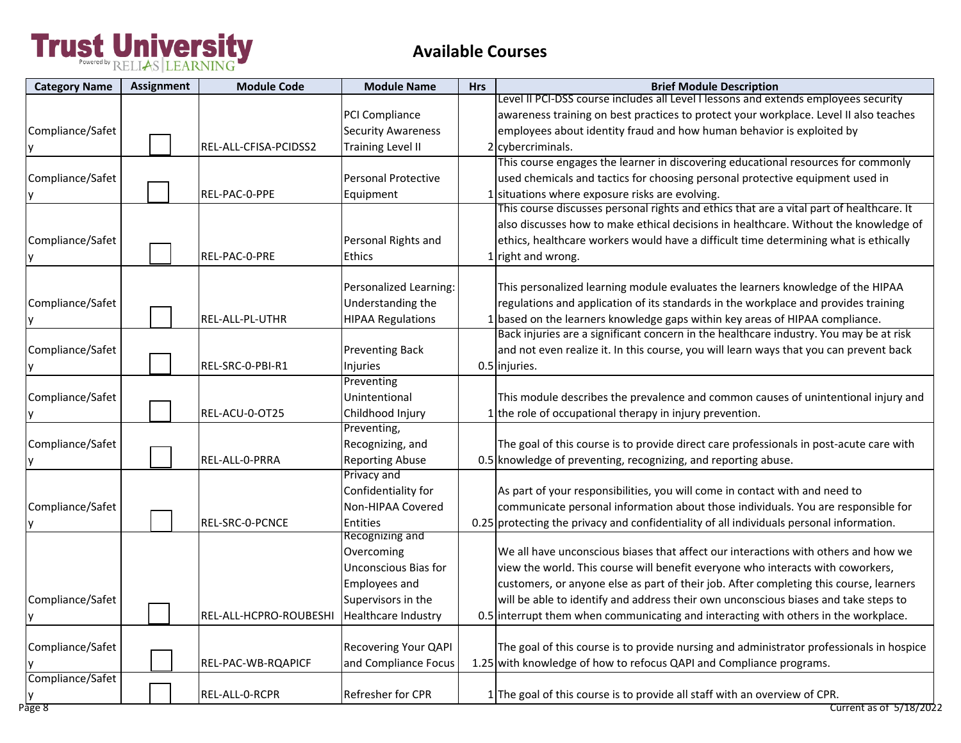| <b>Category Name</b> | Assignment | <b>Module Code</b>     | <b>Module Name</b>          | <b>Hrs</b>    | <b>Brief Module Description</b>                                                          |
|----------------------|------------|------------------------|-----------------------------|---------------|------------------------------------------------------------------------------------------|
|                      |            |                        |                             |               | Level II PCI-DSS course includes all Level I lessons and extends employees security      |
|                      |            |                        | PCI Compliance              |               | awareness training on best practices to protect your workplace. Level II also teaches    |
| Compliance/Safet     |            |                        | <b>Security Awareness</b>   |               | employees about identity fraud and how human behavior is exploited by                    |
|                      |            | REL-ALL-CFISA-PCIDSS2  | <b>Training Level II</b>    | $\mathcal{P}$ | cybercriminals.                                                                          |
|                      |            |                        |                             |               | This course engages the learner in discovering educational resources for commonly        |
| Compliance/Safet     |            |                        | Personal Protective         |               | used chemicals and tactics for choosing personal protective equipment used in            |
|                      |            | REL-PAC-0-PPE          | Equipment                   |               | 1 situations where exposure risks are evolving.                                          |
|                      |            |                        |                             |               | This course discusses personal rights and ethics that are a vital part of healthcare. It |
|                      |            |                        |                             |               | also discusses how to make ethical decisions in healthcare. Without the knowledge of     |
| Compliance/Safet     |            |                        | Personal Rights and         |               | ethics, healthcare workers would have a difficult time determining what is ethically     |
|                      |            | REL-PAC-0-PRE          | <b>Ethics</b>               |               | 1 right and wrong.                                                                       |
|                      |            |                        |                             |               |                                                                                          |
|                      |            |                        | Personalized Learning:      |               | This personalized learning module evaluates the learners knowledge of the HIPAA          |
| Compliance/Safet     |            |                        | Understanding the           |               | regulations and application of its standards in the workplace and provides training      |
|                      |            | REL-ALL-PL-UTHR        | <b>HIPAA Regulations</b>    |               | 1 based on the learners knowledge gaps within key areas of HIPAA compliance.             |
|                      |            |                        |                             |               | Back injuries are a significant concern in the healthcare industry. You may be at risk   |
| Compliance/Safet     |            |                        | <b>Preventing Back</b>      |               | and not even realize it. In this course, you will learn ways that you can prevent back   |
|                      |            | REL-SRC-0-PBI-R1       | Injuries                    |               | 0.5 injuries.                                                                            |
|                      |            |                        | Preventing                  |               |                                                                                          |
| Compliance/Safet     |            |                        | Unintentional               |               | This module describes the prevalence and common causes of unintentional injury and       |
|                      |            | REL-ACU-0-OT25         | Childhood Injury            |               | 1 the role of occupational therapy in injury prevention.                                 |
|                      |            |                        | Preventing,                 |               |                                                                                          |
| Compliance/Safet     |            |                        | Recognizing, and            |               | The goal of this course is to provide direct care professionals in post-acute care with  |
|                      |            | REL-ALL-0-PRRA         | <b>Reporting Abuse</b>      |               | 0.5 knowledge of preventing, recognizing, and reporting abuse.                           |
|                      |            |                        | Privacy and                 |               |                                                                                          |
|                      |            |                        | Confidentiality for         |               | As part of your responsibilities, you will come in contact with and need to              |
| Compliance/Safet     |            |                        | Non-HIPAA Covered           |               | communicate personal information about those individuals. You are responsible for        |
|                      |            | REL-SRC-0-PCNCE        | <b>Entities</b>             |               | 0.25 protecting the privacy and confidentiality of all individuals personal information. |
|                      |            |                        | Recognizing and             |               | We all have unconscious biases that affect our interactions with others and how we       |
|                      |            |                        | Overcoming                  |               |                                                                                          |
|                      |            |                        | Unconscious Bias for        |               | view the world. This course will benefit everyone who interacts with coworkers,          |
|                      |            |                        | <b>Employees and</b>        |               | customers, or anyone else as part of their job. After completing this course, learners   |
| Compliance/Safet     |            |                        | Supervisors in the          |               | will be able to identify and address their own unconscious biases and take steps to      |
|                      |            | REL-ALL-HCPRO-ROUBESHI | <b>Healthcare Industry</b>  |               | 0.5 interrupt them when communicating and interacting with others in the workplace.      |
| Compliance/Safet     |            |                        | <b>Recovering Your QAPI</b> |               | The goal of this course is to provide nursing and administrator professionals in hospice |
|                      |            | REL-PAC-WB-RQAPICF     | and Compliance Focus        |               | 1.25 with knowledge of how to refocus QAPI and Compliance programs.                      |
| Compliance/Safet     |            |                        |                             |               |                                                                                          |
|                      |            | REL-ALL-0-RCPR         | Refresher for CPR           |               | 1 The goal of this course is to provide all staff with an overview of CPR.               |
| Page 8               |            |                        |                             |               | Current as of 5/18/2022                                                                  |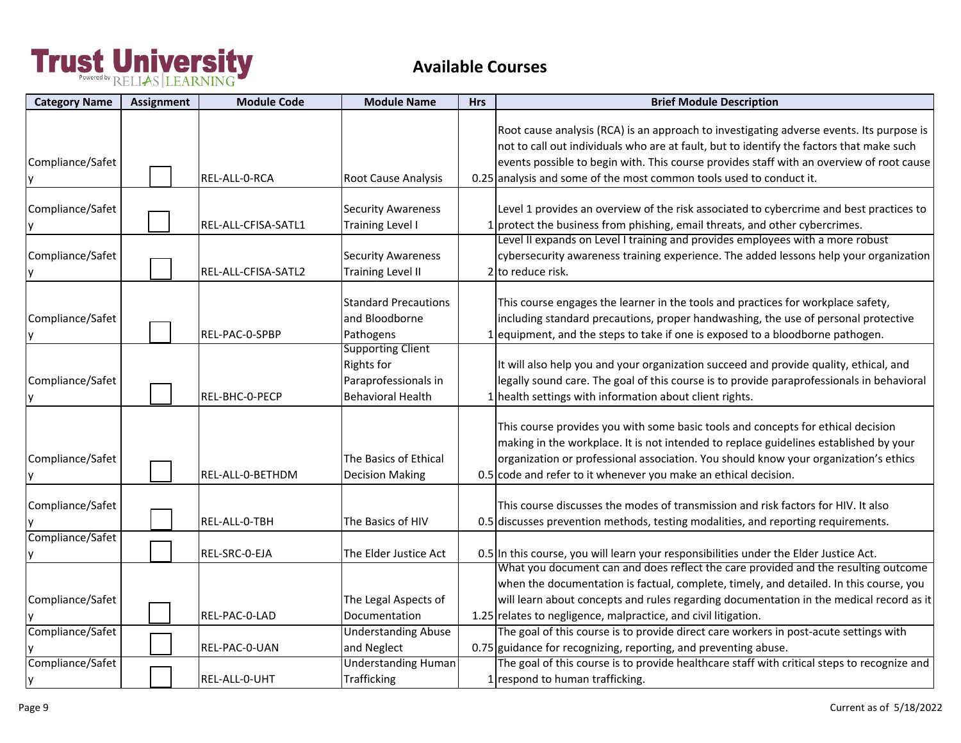| <b>Category Name</b>  | <b>Assignment</b> | <b>Module Code</b>  | <b>Module Name</b>                                                                                | <b>Hrs</b> | <b>Brief Module Description</b>                                                                                                                                                                                                                                                                                                                         |
|-----------------------|-------------------|---------------------|---------------------------------------------------------------------------------------------------|------------|---------------------------------------------------------------------------------------------------------------------------------------------------------------------------------------------------------------------------------------------------------------------------------------------------------------------------------------------------------|
| Compliance/Safet      |                   | REL-ALL-0-RCA       | Root Cause Analysis                                                                               |            | Root cause analysis (RCA) is an approach to investigating adverse events. Its purpose is<br>not to call out individuals who are at fault, but to identify the factors that make such<br>events possible to begin with. This course provides staff with an overview of root cause<br>0.25 analysis and some of the most common tools used to conduct it. |
| Compliance/Safet      |                   | REL-ALL-CFISA-SATL1 | <b>Security Awareness</b><br><b>Training Level I</b>                                              |            | Level 1 provides an overview of the risk associated to cybercrime and best practices to<br>1 protect the business from phishing, email threats, and other cybercrimes.                                                                                                                                                                                  |
| Compliance/Safet      |                   | REL-ALL-CFISA-SATL2 | <b>Security Awareness</b><br><b>Training Level II</b>                                             |            | Level II expands on Level I training and provides employees with a more robust<br>cybersecurity awareness training experience. The added lessons help your organization<br>2 to reduce risk.                                                                                                                                                            |
| Compliance/Safet      |                   | REL-PAC-0-SPBP      | <b>Standard Precautions</b><br>and Bloodborne<br>Pathogens                                        |            | This course engages the learner in the tools and practices for workplace safety,<br>including standard precautions, proper handwashing, the use of personal protective<br>1 equipment, and the steps to take if one is exposed to a bloodborne pathogen.                                                                                                |
| Compliance/Safet      |                   | REL-BHC-0-PECP      | <b>Supporting Client</b><br><b>Rights for</b><br>Paraprofessionals in<br><b>Behavioral Health</b> |            | It will also help you and your organization succeed and provide quality, ethical, and<br>legally sound care. The goal of this course is to provide paraprofessionals in behavioral<br>1 health settings with information about client rights.                                                                                                           |
| Compliance/Safet      |                   | REL-ALL-0-BETHDM    | The Basics of Ethical<br><b>Decision Making</b>                                                   |            | This course provides you with some basic tools and concepts for ethical decision<br>making in the workplace. It is not intended to replace guidelines established by your<br>organization or professional association. You should know your organization's ethics<br>0.5 code and refer to it whenever you make an ethical decision.                    |
| Compliance/Safet      |                   | REL-ALL-0-TBH       | The Basics of HIV                                                                                 |            | This course discusses the modes of transmission and risk factors for HIV. It also<br>0.5 discusses prevention methods, testing modalities, and reporting requirements.                                                                                                                                                                                  |
| Compliance/Safet      |                   | REL-SRC-0-EJA       | The Elder Justice Act                                                                             |            | 0.5 In this course, you will learn your responsibilities under the Elder Justice Act.                                                                                                                                                                                                                                                                   |
| Compliance/Safet      |                   | REL-PAC-0-LAD       | The Legal Aspects of<br>Documentation                                                             |            | What you document can and does reflect the care provided and the resulting outcome<br>when the documentation is factual, complete, timely, and detailed. In this course, you<br>will learn about concepts and rules regarding documentation in the medical record as it<br>1.25 relates to negligence, malpractice, and civil litigation.               |
| Compliance/Safet      |                   | REL-PAC-0-UAN       | <b>Understanding Abuse</b><br>and Neglect                                                         |            | The goal of this course is to provide direct care workers in post-acute settings with<br>0.75 guidance for recognizing, reporting, and preventing abuse.                                                                                                                                                                                                |
| Compliance/Safet<br>y |                   | REL-ALL-0-UHT       | <b>Understanding Human</b><br><b>Trafficking</b>                                                  |            | The goal of this course is to provide healthcare staff with critical steps to recognize and<br>1 respond to human trafficking.                                                                                                                                                                                                                          |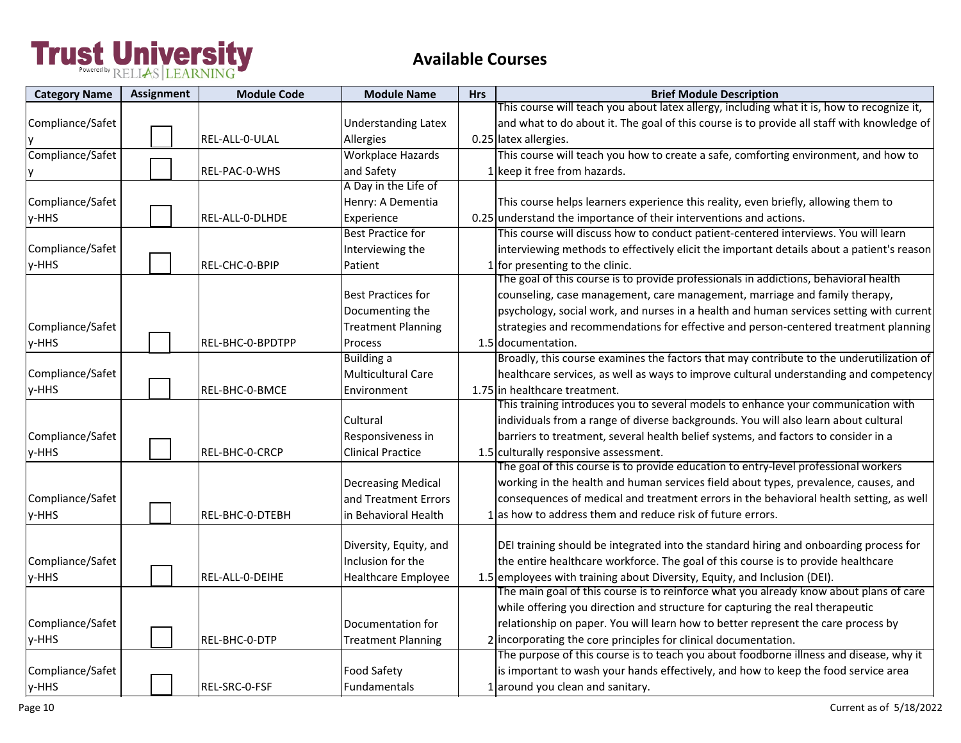| <b>Category Name</b> | Assignment | <b>Module Code</b> | <b>Module Name</b>         | <b>Hrs</b> | <b>Brief Module Description</b>                                                            |
|----------------------|------------|--------------------|----------------------------|------------|--------------------------------------------------------------------------------------------|
|                      |            |                    |                            |            | This course will teach you about latex allergy, including what it is, how to recognize it, |
| Compliance/Safet     |            |                    | <b>Understanding Latex</b> |            | and what to do about it. The goal of this course is to provide all staff with knowledge of |
|                      |            | REL-ALL-0-ULAL     | Allergies                  |            | 0.25 latex allergies.                                                                      |
| Compliance/Safet     |            |                    | <b>Workplace Hazards</b>   |            | This course will teach you how to create a safe, comforting environment, and how to        |
|                      |            | REL-PAC-0-WHS      | and Safety                 |            | keep it free from hazards.                                                                 |
|                      |            |                    | A Day in the Life of       |            |                                                                                            |
| Compliance/Safet     |            |                    | Henry: A Dementia          |            | This course helps learners experience this reality, even briefly, allowing them to         |
| y-HHS                |            | REL-ALL-0-DLHDE    | Experience                 |            | 0.25 understand the importance of their interventions and actions.                         |
|                      |            |                    | <b>Best Practice for</b>   |            | This course will discuss how to conduct patient-centered interviews. You will learn        |
| Compliance/Safet     |            |                    | Interviewing the           |            | interviewing methods to effectively elicit the important details about a patient's reason  |
| y-HHS                |            | REL-CHC-0-BPIP     | Patient                    |            | for presenting to the clinic.                                                              |
|                      |            |                    |                            |            | The goal of this course is to provide professionals in addictions, behavioral health       |
|                      |            |                    | <b>Best Practices for</b>  |            | counseling, case management, care management, marriage and family therapy,                 |
|                      |            |                    | Documenting the            |            | psychology, social work, and nurses in a health and human services setting with current    |
| Compliance/Safet     |            |                    | <b>Treatment Planning</b>  |            | strategies and recommendations for effective and person-centered treatment planning        |
| y-HHS                |            | REL-BHC-0-BPDTPP   | Process                    |            | 1.5 documentation.                                                                         |
|                      |            |                    | <b>Building a</b>          |            | Broadly, this course examines the factors that may contribute to the underutilization of   |
| Compliance/Safet     |            |                    | <b>Multicultural Care</b>  |            | healthcare services, as well as ways to improve cultural understanding and competency      |
| y-HHS                |            | REL-BHC-0-BMCE     | Environment                |            | 1.75 in healthcare treatment.                                                              |
|                      |            |                    |                            |            | This training introduces you to several models to enhance your communication with          |
|                      |            |                    | Cultural                   |            | individuals from a range of diverse backgrounds. You will also learn about cultural        |
| Compliance/Safet     |            |                    | Responsiveness in          |            | barriers to treatment, several health belief systems, and factors to consider in a         |
| y-HHS                |            | REL-BHC-0-CRCP     | <b>Clinical Practice</b>   |            | 1.5 culturally responsive assessment.                                                      |
|                      |            |                    |                            |            | The goal of this course is to provide education to entry-level professional workers        |
|                      |            |                    | <b>Decreasing Medical</b>  |            | working in the health and human services field about types, prevalence, causes, and        |
| Compliance/Safet     |            |                    | and Treatment Errors       |            | consequences of medical and treatment errors in the behavioral health setting, as well     |
| y-HHS                |            | REL-BHC-0-DTEBH    | in Behavioral Health       |            | 1 as how to address them and reduce risk of future errors.                                 |
|                      |            |                    |                            |            |                                                                                            |
|                      |            |                    | Diversity, Equity, and     |            | DEI training should be integrated into the standard hiring and onboarding process for      |
| Compliance/Safet     |            |                    | Inclusion for the          |            | the entire healthcare workforce. The goal of this course is to provide healthcare          |
| y-HHS                |            | REL-ALL-0-DEIHE    | <b>Healthcare Employee</b> |            | 1.5 employees with training about Diversity, Equity, and Inclusion (DEI).                  |
|                      |            |                    |                            |            | The main goal of this course is to reinforce what you already know about plans of care     |
|                      |            |                    |                            |            | while offering you direction and structure for capturing the real therapeutic              |
| Compliance/Safet     |            |                    | Documentation for          |            | relationship on paper. You will learn how to better represent the care process by          |
| y-HHS                |            | REL-BHC-0-DTP      | <b>Treatment Planning</b>  |            | 2 incorporating the core principles for clinical documentation.                            |
|                      |            |                    |                            |            | The purpose of this course is to teach you about foodborne illness and disease, why it     |
| Compliance/Safet     |            |                    | <b>Food Safety</b>         |            | is important to wash your hands effectively, and how to keep the food service area         |
| y-HHS                |            | REL-SRC-0-FSF      | Fundamentals               |            | 1 around you clean and sanitary.                                                           |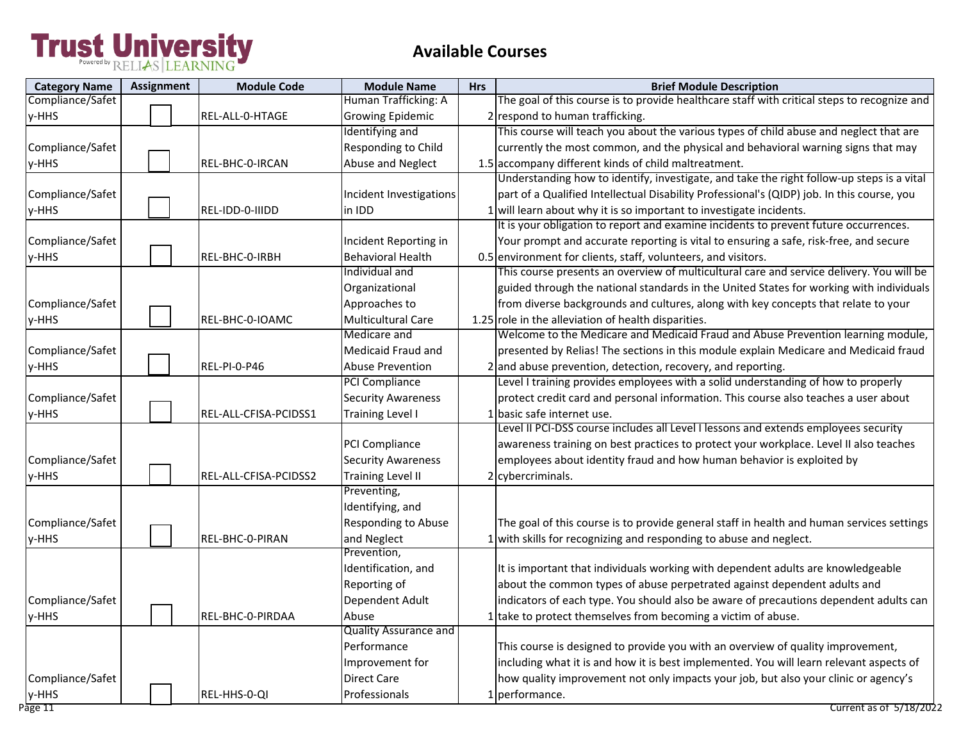| <b>Category Name</b> | <b>Assignment</b> | <b>Module Code</b>    | <b>Module Name</b>           | <b>Hrs</b> | <b>Brief Module Description</b>                                                             |
|----------------------|-------------------|-----------------------|------------------------------|------------|---------------------------------------------------------------------------------------------|
| Compliance/Safet     |                   |                       | Human Trafficking: A         |            | The goal of this course is to provide healthcare staff with critical steps to recognize and |
| y-HHS                |                   | REL-ALL-0-HTAGE       | <b>Growing Epidemic</b>      |            | 2 respond to human trafficking.                                                             |
|                      |                   |                       | Identifying and              |            | This course will teach you about the various types of child abuse and neglect that are      |
| Compliance/Safet     |                   |                       | Responding to Child          |            | currently the most common, and the physical and behavioral warning signs that may           |
| y-HHS                |                   | REL-BHC-0-IRCAN       | Abuse and Neglect            |            | 1.5 accompany different kinds of child maltreatment.                                        |
|                      |                   |                       |                              |            | Understanding how to identify, investigate, and take the right follow-up steps is a vital   |
| Compliance/Safet     |                   |                       | Incident Investigations      |            | part of a Qualified Intellectual Disability Professional's (QIDP) job. In this course, you  |
| y-HHS                |                   | REL-IDD-0-IIIDD       | in IDD                       |            | 1 will learn about why it is so important to investigate incidents.                         |
|                      |                   |                       |                              |            | It is your obligation to report and examine incidents to prevent future occurrences.        |
| Compliance/Safet     |                   |                       | Incident Reporting in        |            | Your prompt and accurate reporting is vital to ensuring a safe, risk-free, and secure       |
| y-HHS                |                   | REL-BHC-0-IRBH        | <b>Behavioral Health</b>     |            | 0.5 environment for clients, staff, volunteers, and visitors.                               |
|                      |                   |                       | Individual and               |            | This course presents an overview of multicultural care and service delivery. You will be    |
|                      |                   |                       | Organizational               |            | guided through the national standards in the United States for working with individuals     |
| Compliance/Safet     |                   |                       | Approaches to                |            | from diverse backgrounds and cultures, along with key concepts that relate to your          |
| y-HHS                |                   | REL-BHC-0-IOAMC       | <b>Multicultural Care</b>    |            | 1.25 role in the alleviation of health disparities.                                         |
|                      |                   |                       | Medicare and                 |            | Welcome to the Medicare and Medicaid Fraud and Abuse Prevention learning module,            |
| Compliance/Safet     |                   |                       | Medicaid Fraud and           |            | presented by Relias! The sections in this module explain Medicare and Medicaid fraud        |
| y-HHS                |                   | <b>REL-PI-0-P46</b>   | <b>Abuse Prevention</b>      |            | 2 and abuse prevention, detection, recovery, and reporting.                                 |
|                      |                   |                       | <b>PCI Compliance</b>        |            | Level I training provides employees with a solid understanding of how to properly           |
| Compliance/Safet     |                   |                       | <b>Security Awareness</b>    |            | protect credit card and personal information. This course also teaches a user about         |
| y-HHS                |                   | REL-ALL-CFISA-PCIDSS1 | <b>Training Level I</b>      |            | 1 basic safe internet use.                                                                  |
|                      |                   |                       |                              |            | Level II PCI-DSS course includes all Level I lessons and extends employees security         |
|                      |                   |                       | PCI Compliance               |            | awareness training on best practices to protect your workplace. Level II also teaches       |
| Compliance/Safet     |                   |                       | <b>Security Awareness</b>    |            | employees about identity fraud and how human behavior is exploited by                       |
| y-HHS                |                   | REL-ALL-CFISA-PCIDSS2 | <b>Training Level II</b>     |            | 2 cybercriminals.                                                                           |
|                      |                   |                       | Preventing,                  |            |                                                                                             |
|                      |                   |                       | Identifying, and             |            |                                                                                             |
| Compliance/Safet     |                   |                       | Responding to Abuse          |            | The goal of this course is to provide general staff in health and human services settings   |
| y-HHS                |                   | REL-BHC-0-PIRAN       | and Neglect                  |            | with skills for recognizing and responding to abuse and neglect.                            |
|                      |                   |                       | Prevention,                  |            |                                                                                             |
|                      |                   |                       | Identification, and          |            | It is important that individuals working with dependent adults are knowledgeable            |
|                      |                   |                       | Reporting of                 |            | about the common types of abuse perpetrated against dependent adults and                    |
| Compliance/Safet     |                   |                       | Dependent Adult              |            | indicators of each type. You should also be aware of precautions dependent adults can       |
| y-HHS                |                   | REL-BHC-0-PIRDAA      | Abuse                        |            | take to protect themselves from becoming a victim of abuse.                                 |
|                      |                   |                       | <b>Quality Assurance and</b> |            |                                                                                             |
|                      |                   |                       | Performance                  |            | This course is designed to provide you with an overview of quality improvement,             |
|                      |                   |                       | Improvement for              |            | including what it is and how it is best implemented. You will learn relevant aspects of     |
| Compliance/Safet     |                   |                       | <b>Direct Care</b>           |            | how quality improvement not only impacts your job, but also your clinic or agency's         |
| y-HHS                |                   | REL-HHS-0-QI          | Professionals                |            | 1 performance.                                                                              |
| Page 11              |                   |                       |                              |            | Current as of 5/18/2022                                                                     |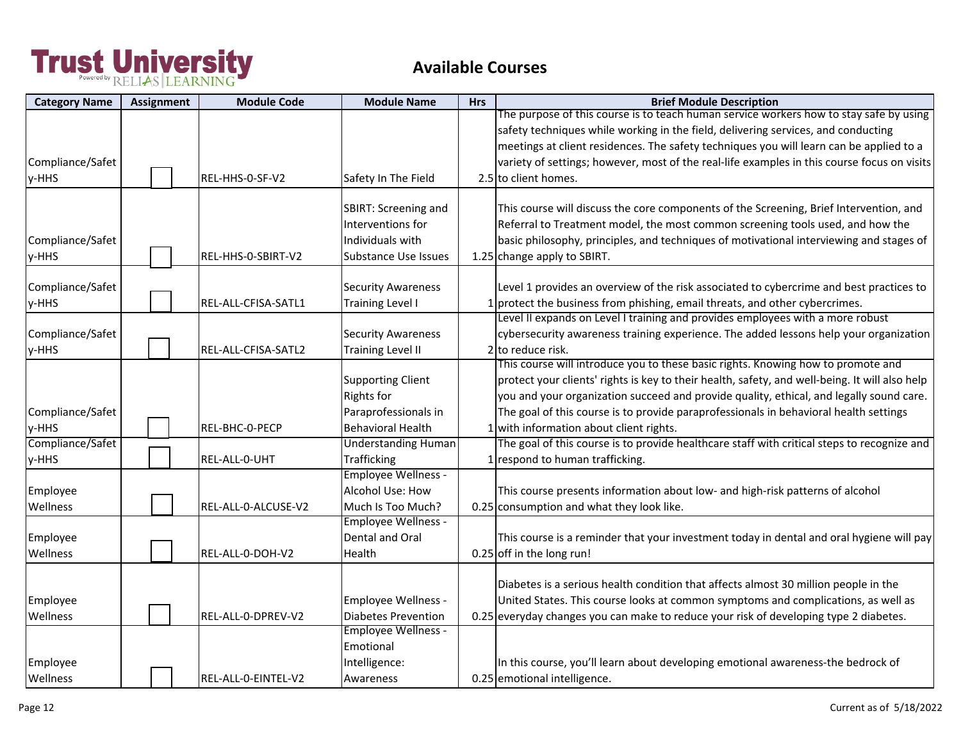| <b>Category Name</b> | <b>Assignment</b> | <b>Module Code</b>  | <b>Module Name</b>          | <b>Hrs</b> | <b>Brief Module Description</b>                                                                |
|----------------------|-------------------|---------------------|-----------------------------|------------|------------------------------------------------------------------------------------------------|
|                      |                   |                     |                             |            | The purpose of this course is to teach human service workers how to stay safe by using         |
|                      |                   |                     |                             |            | safety techniques while working in the field, delivering services, and conducting              |
|                      |                   |                     |                             |            | meetings at client residences. The safety techniques you will learn can be applied to a        |
| Compliance/Safet     |                   |                     |                             |            | variety of settings; however, most of the real-life examples in this course focus on visits    |
| y-HHS                |                   | REL-HHS-0-SF-V2     | Safety In The Field         |            | 2.5 to client homes.                                                                           |
|                      |                   |                     | SBIRT: Screening and        |            | This course will discuss the core components of the Screening, Brief Intervention, and         |
|                      |                   |                     | Interventions for           |            | Referral to Treatment model, the most common screening tools used, and how the                 |
| Compliance/Safet     |                   |                     | Individuals with            |            | basic philosophy, principles, and techniques of motivational interviewing and stages of        |
| y-HHS                |                   | REL-HHS-0-SBIRT-V2  | <b>Substance Use Issues</b> |            | 1.25 change apply to SBIRT.                                                                    |
|                      |                   |                     |                             |            |                                                                                                |
| Compliance/Safet     |                   |                     | <b>Security Awareness</b>   |            | Level 1 provides an overview of the risk associated to cybercrime and best practices to        |
| y-HHS                |                   | REL-ALL-CFISA-SATL1 | <b>Training Level I</b>     |            | 1 protect the business from phishing, email threats, and other cybercrimes.                    |
|                      |                   |                     |                             |            | Level II expands on Level I training and provides employees with a more robust                 |
| Compliance/Safet     |                   |                     | <b>Security Awareness</b>   |            | cybersecurity awareness training experience. The added lessons help your organization          |
| y-HHS                |                   | REL-ALL-CFISA-SATL2 | <b>Training Level II</b>    |            | 2 to reduce risk.                                                                              |
|                      |                   |                     |                             |            | This course will introduce you to these basic rights. Knowing how to promote and               |
|                      |                   |                     | <b>Supporting Client</b>    |            | protect your clients' rights is key to their health, safety, and well-being. It will also help |
|                      |                   |                     | <b>Rights for</b>           |            | you and your organization succeed and provide quality, ethical, and legally sound care.        |
| Compliance/Safet     |                   |                     | Paraprofessionals in        |            | The goal of this course is to provide paraprofessionals in behavioral health settings          |
| y-HHS                |                   | REL-BHC-0-PECP      | <b>Behavioral Health</b>    |            | 1 with information about client rights.                                                        |
| Compliance/Safet     |                   |                     | <b>Understanding Human</b>  |            | The goal of this course is to provide healthcare staff with critical steps to recognize and    |
| y-HHS                |                   | REL-ALL-0-UHT       | <b>Trafficking</b>          |            | 1 respond to human trafficking.                                                                |
|                      |                   |                     | Employee Wellness -         |            |                                                                                                |
| Employee             |                   |                     | Alcohol Use: How            |            | This course presents information about low- and high-risk patterns of alcohol                  |
| Wellness             |                   | REL-ALL-0-ALCUSE-V2 | Much Is Too Much?           |            | 0.25 consumption and what they look like.                                                      |
|                      |                   |                     | <b>Employee Wellness -</b>  |            |                                                                                                |
| Employee             |                   |                     | Dental and Oral             |            | This course is a reminder that your investment today in dental and oral hygiene will pay       |
| Wellness             |                   | REL-ALL-0-DOH-V2    | Health                      |            | 0.25 off in the long run!                                                                      |
|                      |                   |                     |                             |            | Diabetes is a serious health condition that affects almost 30 million people in the            |
| Employee             |                   |                     | Employee Wellness -         |            | United States. This course looks at common symptoms and complications, as well as              |
| Wellness             |                   | REL-ALL-0-DPREV-V2  | <b>Diabetes Prevention</b>  |            | 0.25 everyday changes you can make to reduce your risk of developing type 2 diabetes.          |
|                      |                   |                     | <b>Employee Wellness -</b>  |            |                                                                                                |
|                      |                   |                     | Emotional                   |            |                                                                                                |
| Employee             |                   |                     | Intelligence:               |            | In this course, you'll learn about developing emotional awareness-the bedrock of               |
| Wellness             |                   | REL-ALL-0-EINTEL-V2 | Awareness                   |            | 0.25 emotional intelligence.                                                                   |
|                      |                   |                     |                             |            |                                                                                                |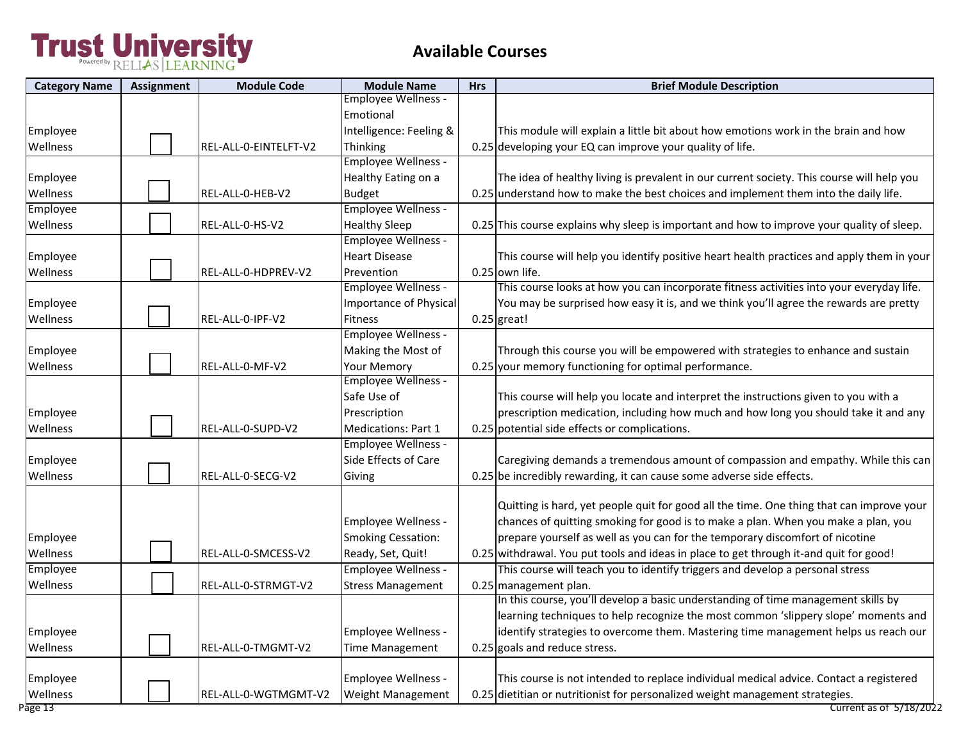| <b>Category Name</b> | <b>Assignment</b> | <b>Module Code</b>    | <b>Module Name</b>         | <b>Hrs</b> | <b>Brief Module Description</b>                                                            |
|----------------------|-------------------|-----------------------|----------------------------|------------|--------------------------------------------------------------------------------------------|
|                      |                   |                       | <b>Employee Wellness -</b> |            |                                                                                            |
|                      |                   |                       | Emotional                  |            |                                                                                            |
| Employee             |                   |                       | Intelligence: Feeling &    |            | This module will explain a little bit about how emotions work in the brain and how         |
| Wellness             |                   | REL-ALL-0-EINTELFT-V2 | Thinking                   |            | 0.25 developing your EQ can improve your quality of life.                                  |
|                      |                   |                       | Employee Wellness -        |            |                                                                                            |
| Employee             |                   |                       | Healthy Eating on a        |            | The idea of healthy living is prevalent in our current society. This course will help you  |
| Wellness             |                   | REL-ALL-0-HEB-V2      | <b>Budget</b>              |            | 0.25 understand how to make the best choices and implement them into the daily life.       |
| Employee             |                   |                       | Employee Wellness -        |            |                                                                                            |
| Wellness             |                   | REL-ALL-0-HS-V2       | <b>Healthy Sleep</b>       |            | 0.25 This course explains why sleep is important and how to improve your quality of sleep. |
|                      |                   |                       | <b>Employee Wellness -</b> |            |                                                                                            |
| Employee             |                   |                       | <b>Heart Disease</b>       |            | This course will help you identify positive heart health practices and apply them in your  |
| Wellness             |                   | REL-ALL-0-HDPREV-V2   | Prevention                 |            | 0.25 own life.                                                                             |
|                      |                   |                       | <b>Employee Wellness -</b> |            | This course looks at how you can incorporate fitness activities into your everyday life.   |
| Employee             |                   |                       | Importance of Physical     |            | You may be surprised how easy it is, and we think you'll agree the rewards are pretty      |
| Wellness             |                   | REL-ALL-0-IPF-V2      | <b>Fitness</b>             |            | $0.25$ great!                                                                              |
|                      |                   |                       | Employee Wellness -        |            |                                                                                            |
| Employee             |                   |                       | Making the Most of         |            | Through this course you will be empowered with strategies to enhance and sustain           |
| Wellness             |                   | REL-ALL-0-MF-V2       | <b>Your Memory</b>         |            | 0.25 your memory functioning for optimal performance.                                      |
|                      |                   |                       | Employee Wellness -        |            |                                                                                            |
|                      |                   |                       | Safe Use of                |            | This course will help you locate and interpret the instructions given to you with a        |
| Employee             |                   |                       | Prescription               |            | prescription medication, including how much and how long you should take it and any        |
| Wellness             |                   | REL-ALL-0-SUPD-V2     | Medications: Part 1        |            | 0.25 potential side effects or complications.                                              |
|                      |                   |                       | <b>Employee Wellness -</b> |            |                                                                                            |
| Employee             |                   |                       | Side Effects of Care       |            | Caregiving demands a tremendous amount of compassion and empathy. While this can           |
| Wellness             |                   | REL-ALL-0-SECG-V2     | Giving                     |            | 0.25 be incredibly rewarding, it can cause some adverse side effects.                      |
|                      |                   |                       |                            |            |                                                                                            |
|                      |                   |                       |                            |            | Quitting is hard, yet people quit for good all the time. One thing that can improve your   |
|                      |                   |                       | Employee Wellness -        |            | chances of quitting smoking for good is to make a plan. When you make a plan, you          |
| Employee             |                   |                       | <b>Smoking Cessation:</b>  |            | prepare yourself as well as you can for the temporary discomfort of nicotine               |
| Wellness             |                   | REL-ALL-0-SMCESS-V2   | Ready, Set, Quit!          |            | 0.25 withdrawal. You put tools and ideas in place to get through it-and quit for good!     |
| Employee             |                   |                       | <b>Employee Wellness -</b> |            | This course will teach you to identify triggers and develop a personal stress              |
| Wellness             |                   | REL-ALL-0-STRMGT-V2   | <b>Stress Management</b>   |            | 0.25 management plan.                                                                      |
|                      |                   |                       |                            |            | In this course, you'll develop a basic understanding of time management skills by          |
|                      |                   |                       |                            |            | learning techniques to help recognize the most common 'slippery slope' moments and         |
| Employee             |                   |                       | Employee Wellness -        |            | identify strategies to overcome them. Mastering time management helps us reach our         |
| Wellness             |                   | REL-ALL-0-TMGMT-V2    | Time Management            |            | 0.25 goals and reduce stress.                                                              |
|                      |                   |                       |                            |            |                                                                                            |
| Employee             |                   |                       | Employee Wellness -        |            | This course is not intended to replace individual medical advice. Contact a registered     |
| Wellness             |                   | REL-ALL-0-WGTMGMT-V2  | Weight Management          |            | 0.25 dietitian or nutritionist for personalized weight management strategies.              |
| Page 13              |                   |                       |                            |            | Current as of 5/18/2022                                                                    |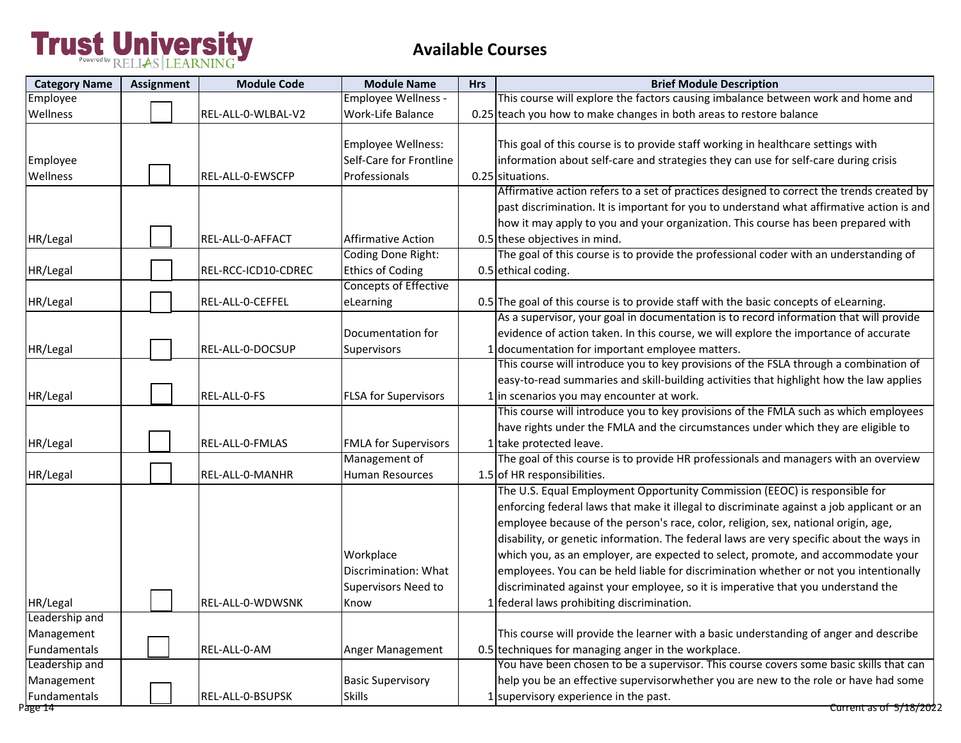| <b>Category Name</b>                                    | <b>Assignment</b> | <b>Module Code</b>  | <b>Module Name</b>                                             | <b>Hrs</b> | <b>Brief Module Description</b>                                                                                                                                                                                                                                                                                                                                                                                                                                                                                                                                                                                            |
|---------------------------------------------------------|-------------------|---------------------|----------------------------------------------------------------|------------|----------------------------------------------------------------------------------------------------------------------------------------------------------------------------------------------------------------------------------------------------------------------------------------------------------------------------------------------------------------------------------------------------------------------------------------------------------------------------------------------------------------------------------------------------------------------------------------------------------------------------|
| Employee                                                |                   |                     | Employee Wellness -                                            |            | This course will explore the factors causing imbalance between work and home and                                                                                                                                                                                                                                                                                                                                                                                                                                                                                                                                           |
| Wellness                                                |                   | REL-ALL-0-WLBAL-V2  | Work-Life Balance                                              |            | 0.25 teach you how to make changes in both areas to restore balance                                                                                                                                                                                                                                                                                                                                                                                                                                                                                                                                                        |
| Employee<br>Wellness                                    |                   | REL-ALL-0-EWSCFP    | Employee Wellness:<br>Self-Care for Frontline<br>Professionals |            | This goal of this course is to provide staff working in healthcare settings with<br>information about self-care and strategies they can use for self-care during crisis<br>0.25 situations.                                                                                                                                                                                                                                                                                                                                                                                                                                |
| HR/Legal                                                |                   | REL-ALL-0-AFFACT    | <b>Affirmative Action</b>                                      |            | Affirmative action refers to a set of practices designed to correct the trends created by<br>past discrimination. It is important for you to understand what affirmative action is and<br>how it may apply to you and your organization. This course has been prepared with<br>0.5 these objectives in mind.                                                                                                                                                                                                                                                                                                               |
|                                                         |                   |                     | Coding Done Right:                                             |            | The goal of this course is to provide the professional coder with an understanding of                                                                                                                                                                                                                                                                                                                                                                                                                                                                                                                                      |
| HR/Legal                                                |                   | REL-RCC-ICD10-CDREC | <b>Ethics of Coding</b>                                        |            | 0.5 ethical coding.                                                                                                                                                                                                                                                                                                                                                                                                                                                                                                                                                                                                        |
| HR/Legal                                                |                   | REL-ALL-0-CEFFEL    | <b>Concepts of Effective</b><br>eLearning                      |            | 0.5 The goal of this course is to provide staff with the basic concepts of eLearning.                                                                                                                                                                                                                                                                                                                                                                                                                                                                                                                                      |
| HR/Legal                                                |                   | REL-ALL-0-DOCSUP    | Documentation for<br>Supervisors                               |            | As a supervisor, your goal in documentation is to record information that will provide<br>evidence of action taken. In this course, we will explore the importance of accurate<br>1 documentation for important employee matters.                                                                                                                                                                                                                                                                                                                                                                                          |
| HR/Legal                                                |                   | REL-ALL-0-FS        | <b>FLSA for Supervisors</b>                                    |            | This course will introduce you to key provisions of the FSLA through a combination of<br>easy-to-read summaries and skill-building activities that highlight how the law applies<br>1 in scenarios you may encounter at work.                                                                                                                                                                                                                                                                                                                                                                                              |
| HR/Legal                                                |                   | REL-ALL-0-FMLAS     | <b>FMLA for Supervisors</b>                                    |            | This course will introduce you to key provisions of the FMLA such as which employees<br>have rights under the FMLA and the circumstances under which they are eligible to<br>1 take protected leave.                                                                                                                                                                                                                                                                                                                                                                                                                       |
| HR/Legal                                                |                   | REL-ALL-0-MANHR     | Management of<br>Human Resources                               |            | The goal of this course is to provide HR professionals and managers with an overview<br>1.5 of HR responsibilities.                                                                                                                                                                                                                                                                                                                                                                                                                                                                                                        |
|                                                         |                   |                     | Workplace<br>Discrimination: What<br>Supervisors Need to       |            | The U.S. Equal Employment Opportunity Commission (EEOC) is responsible for<br>enforcing federal laws that make it illegal to discriminate against a job applicant or an<br>employee because of the person's race, color, religion, sex, national origin, age,<br>disability, or genetic information. The federal laws are very specific about the ways in<br>which you, as an employer, are expected to select, promote, and accommodate your<br>employees. You can be held liable for discrimination whether or not you intentionally<br>discriminated against your employee, so it is imperative that you understand the |
| HR/Legal                                                |                   | REL-ALL-0-WDWSNK    | Know                                                           |            | 1 federal laws prohibiting discrimination.                                                                                                                                                                                                                                                                                                                                                                                                                                                                                                                                                                                 |
| Leadership and<br>Management<br>Fundamentals            |                   | REL-ALL-0-AM        | Anger Management                                               |            | This course will provide the learner with a basic understanding of anger and describe<br>0.5 techniques for managing anger in the workplace.                                                                                                                                                                                                                                                                                                                                                                                                                                                                               |
| Leadership and<br>Management<br>Fundamentals<br>Page 14 |                   | REL-ALL-0-BSUPSK    | <b>Basic Supervisory</b><br><b>Skills</b>                      |            | You have been chosen to be a supervisor. This course covers some basic skills that can<br>help you be an effective supervisorwhether you are new to the role or have had some<br>1 supervisory experience in the past.<br>Current as of 5/18/2022                                                                                                                                                                                                                                                                                                                                                                          |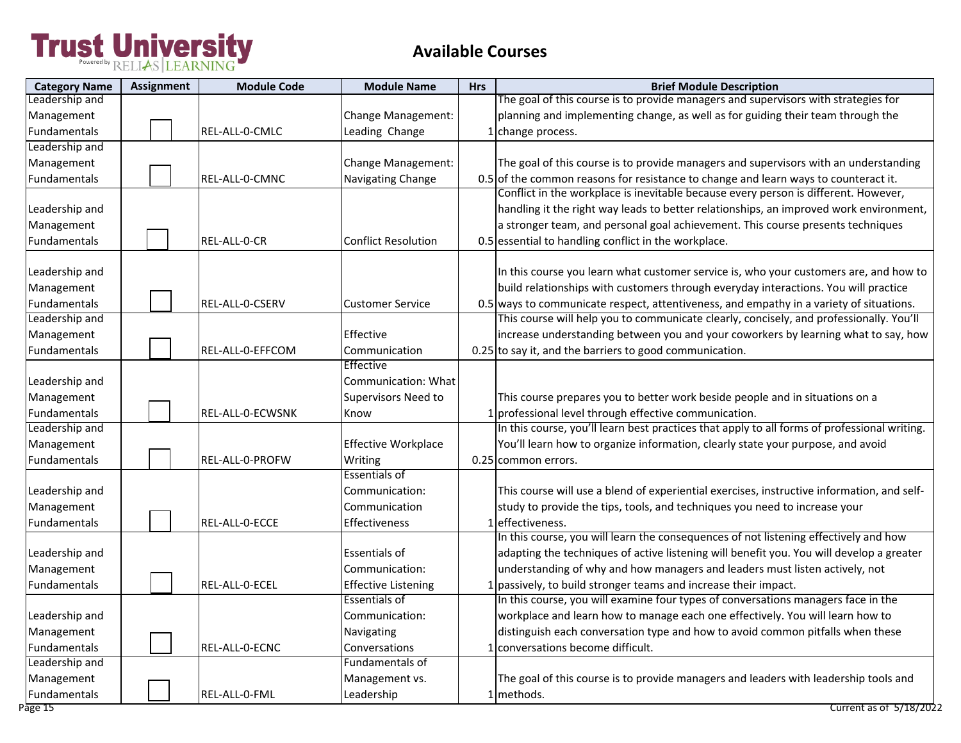| <b>Category Name</b>    | <b>Assignment</b> | <b>Module Code</b> | <b>Module Name</b>                          | <b>Hrs</b> | <b>Brief Module Description</b>                                                                                                                                                    |
|-------------------------|-------------------|--------------------|---------------------------------------------|------------|------------------------------------------------------------------------------------------------------------------------------------------------------------------------------------|
| Leadership and          |                   |                    |                                             |            | The goal of this course is to provide managers and supervisors with strategies for                                                                                                 |
| Management              |                   |                    | Change Management:                          |            | planning and implementing change, as well as for guiding their team through the                                                                                                    |
| <b>Fundamentals</b>     |                   | REL-ALL-0-CMLC     | Leading Change                              |            | 1 change process.                                                                                                                                                                  |
| Leadership and          |                   |                    |                                             |            |                                                                                                                                                                                    |
| Management              |                   |                    | Change Management:                          |            | The goal of this course is to provide managers and supervisors with an understanding                                                                                               |
| Fundamentals            |                   | REL-ALL-0-CMNC     | Navigating Change                           |            | 0.5 of the common reasons for resistance to change and learn ways to counteract it.                                                                                                |
|                         |                   |                    |                                             |            | Conflict in the workplace is inevitable because every person is different. However,                                                                                                |
| Leadership and          |                   |                    |                                             |            | handling it the right way leads to better relationships, an improved work environment,                                                                                             |
| Management              |                   |                    |                                             |            | a stronger team, and personal goal achievement. This course presents techniques                                                                                                    |
| Fundamentals            |                   | REL-ALL-0-CR       | Conflict Resolution                         |            | 0.5 essential to handling conflict in the workplace.                                                                                                                               |
| Leadership and          |                   |                    |                                             |            | In this course you learn what customer service is, who your customers are, and how to                                                                                              |
| Management              |                   |                    |                                             |            | build relationships with customers through everyday interactions. You will practice                                                                                                |
|                         |                   | REL-ALL-0-CSERV    | <b>Customer Service</b>                     |            |                                                                                                                                                                                    |
| Fundamentals            |                   |                    |                                             |            | 0.5 ways to communicate respect, attentiveness, and empathy in a variety of situations.<br>This course will help you to communicate clearly, concisely, and professionally. You'll |
| Leadership and          |                   |                    |                                             |            |                                                                                                                                                                                    |
| Management              |                   |                    | Effective                                   |            | increase understanding between you and your coworkers by learning what to say, how                                                                                                 |
| Fundamentals            |                   | REL-ALL-0-EFFCOM   | Communication<br><b>Effective</b>           |            | 0.25 to say it, and the barriers to good communication.                                                                                                                            |
| Leadership and          |                   |                    | Communication: What                         |            |                                                                                                                                                                                    |
|                         |                   |                    |                                             |            |                                                                                                                                                                                    |
| Management              |                   |                    | <b>Supervisors Need to</b>                  |            | This course prepares you to better work beside people and in situations on a                                                                                                       |
| Fundamentals            |                   | REL-ALL-0-ECWSNK   | Know                                        |            | 1 professional level through effective communication.                                                                                                                              |
| Leadership and          |                   |                    |                                             |            | In this course, you'll learn best practices that apply to all forms of professional writing.                                                                                       |
| Management              |                   |                    | Effective Workplace                         |            | You'll learn how to organize information, clearly state your purpose, and avoid                                                                                                    |
| Fundamentals            |                   | REL-ALL-0-PROFW    | Writing                                     |            | 0.25 common errors.                                                                                                                                                                |
|                         |                   |                    | Essentials of                               |            |                                                                                                                                                                                    |
| Leadership and          |                   |                    | Communication:                              |            | This course will use a blend of experiential exercises, instructive information, and self-                                                                                         |
| Management              |                   |                    | Communication                               |            | study to provide the tips, tools, and techniques you need to increase your<br>1 effectiveness.                                                                                     |
| Fundamentals            |                   | REL-ALL-0-ECCE     | <b>Effectiveness</b>                        |            | In this course, you will learn the consequences of not listening effectively and how                                                                                               |
|                         |                   |                    | Essentials of                               |            | adapting the techniques of active listening will benefit you. You will develop a greater                                                                                           |
| Leadership and          |                   |                    |                                             |            |                                                                                                                                                                                    |
| Management              |                   |                    | Communication:                              |            | understanding of why and how managers and leaders must listen actively, not                                                                                                        |
| <b>Fundamentals</b>     |                   | REL-ALL-0-ECEL     | <b>Effective Listening</b><br>Essentials of |            | 1 passively, to build stronger teams and increase their impact.<br>In this course, you will examine four types of conversations managers face in the                               |
|                         |                   |                    |                                             |            |                                                                                                                                                                                    |
| Leadership and          |                   |                    | Communication:                              |            | workplace and learn how to manage each one effectively. You will learn how to                                                                                                      |
| Management              |                   |                    | Navigating                                  |            | distinguish each conversation type and how to avoid common pitfalls when these                                                                                                     |
| Fundamentals            |                   | REL-ALL-0-ECNC     | Conversations                               |            | 1 conversations become difficult.                                                                                                                                                  |
| Leadership and          |                   |                    | Fundamentals of                             |            |                                                                                                                                                                                    |
| Management              |                   |                    | Management vs.                              |            | The goal of this course is to provide managers and leaders with leadership tools and                                                                                               |
| Fundamentals<br>Page 15 |                   | REL-ALL-0-FML      | Leadership                                  |            | 1 methods.<br>Current as of 5/18/2022                                                                                                                                              |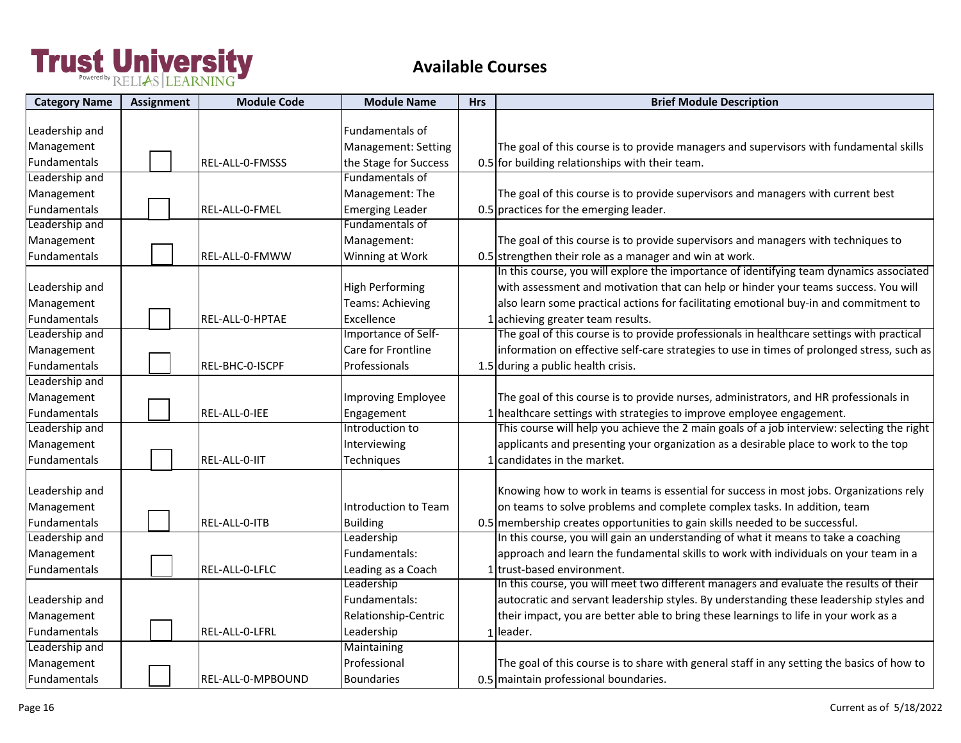| <b>Category Name</b> | <b>Assignment</b> | <b>Module Code</b> | <b>Module Name</b>         | <b>Hrs</b> | <b>Brief Module Description</b>                                                            |
|----------------------|-------------------|--------------------|----------------------------|------------|--------------------------------------------------------------------------------------------|
|                      |                   |                    |                            |            |                                                                                            |
| Leadership and       |                   |                    | <b>Fundamentals of</b>     |            |                                                                                            |
| Management           |                   |                    | <b>Management: Setting</b> |            | The goal of this course is to provide managers and supervisors with fundamental skills     |
| Fundamentals         |                   | REL-ALL-0-FMSSS    | the Stage for Success      |            | 0.5 for building relationships with their team.                                            |
| Leadership and       |                   |                    | Fundamentals of            |            |                                                                                            |
| Management           |                   |                    | Management: The            |            | The goal of this course is to provide supervisors and managers with current best           |
| Fundamentals         |                   | REL-ALL-0-FMEL     | <b>Emerging Leader</b>     |            | 0.5 practices for the emerging leader.                                                     |
| Leadership and       |                   |                    | Fundamentals of            |            |                                                                                            |
| Management           |                   |                    | Management:                |            | The goal of this course is to provide supervisors and managers with techniques to          |
| Fundamentals         |                   | REL-ALL-0-FMWW     | Winning at Work            |            | 0.5 strengthen their role as a manager and win at work.                                    |
|                      |                   |                    |                            |            | In this course, you will explore the importance of identifying team dynamics associated    |
| Leadership and       |                   |                    | <b>High Performing</b>     |            | with assessment and motivation that can help or hinder your teams success. You will        |
| Management           |                   |                    | <b>Teams: Achieving</b>    |            | also learn some practical actions for facilitating emotional buy-in and commitment to      |
| Fundamentals         |                   | REL-ALL-0-HPTAE    | Excellence                 |            | 1 achieving greater team results.                                                          |
| Leadership and       |                   |                    | Importance of Self-        |            | The goal of this course is to provide professionals in healthcare settings with practical  |
| Management           |                   |                    | Care for Frontline         |            | information on effective self-care strategies to use in times of prolonged stress, such as |
| Fundamentals         |                   | REL-BHC-0-ISCPF    | Professionals              |            | 1.5 during a public health crisis.                                                         |
| Leadership and       |                   |                    |                            |            |                                                                                            |
| Management           |                   |                    | Improving Employee         |            | The goal of this course is to provide nurses, administrators, and HR professionals in      |
| Fundamentals         |                   | REL-ALL-0-IEE      | Engagement                 |            | 1 healthcare settings with strategies to improve employee engagement.                      |
| Leadership and       |                   |                    | Introduction to            |            | This course will help you achieve the 2 main goals of a job interview: selecting the right |
| Management           |                   |                    | Interviewing               |            | applicants and presenting your organization as a desirable place to work to the top        |
| Fundamentals         |                   | REL-ALL-0-IIT      | Techniques                 |            | 1 candidates in the market.                                                                |
|                      |                   |                    |                            |            |                                                                                            |
| Leadership and       |                   |                    |                            |            | Knowing how to work in teams is essential for success in most jobs. Organizations rely     |
| Management           |                   |                    | Introduction to Team       |            | on teams to solve problems and complete complex tasks. In addition, team                   |
| Fundamentals         |                   | REL-ALL-0-ITB      | <b>Building</b>            |            | 0.5 membership creates opportunities to gain skills needed to be successful.               |
| Leadership and       |                   |                    | Leadership                 |            | In this course, you will gain an understanding of what it means to take a coaching         |
| Management           |                   |                    | Fundamentals:              |            | approach and learn the fundamental skills to work with individuals on your team in a       |
| Fundamentals         |                   | REL-ALL-0-LFLC     | Leading as a Coach         |            | 1 trust-based environment.                                                                 |
|                      |                   |                    | Leadership                 |            | In this course, you will meet two different managers and evaluate the results of their     |
| Leadership and       |                   |                    | Fundamentals:              |            | autocratic and servant leadership styles. By understanding these leadership styles and     |
| Management           |                   |                    | Relationship-Centric       |            | their impact, you are better able to bring these learnings to life in your work as a       |
| Fundamentals         |                   | REL-ALL-0-LFRL     | Leadership                 |            | 1 leader.                                                                                  |
| Leadership and       |                   |                    | Maintaining                |            |                                                                                            |
| Management           |                   |                    | Professional               |            | The goal of this course is to share with general staff in any setting the basics of how to |
|                      |                   |                    |                            |            |                                                                                            |
| Fundamentals         |                   | REL-ALL-0-MPBOUND  | <b>Boundaries</b>          |            | 0.5 maintain professional boundaries.                                                      |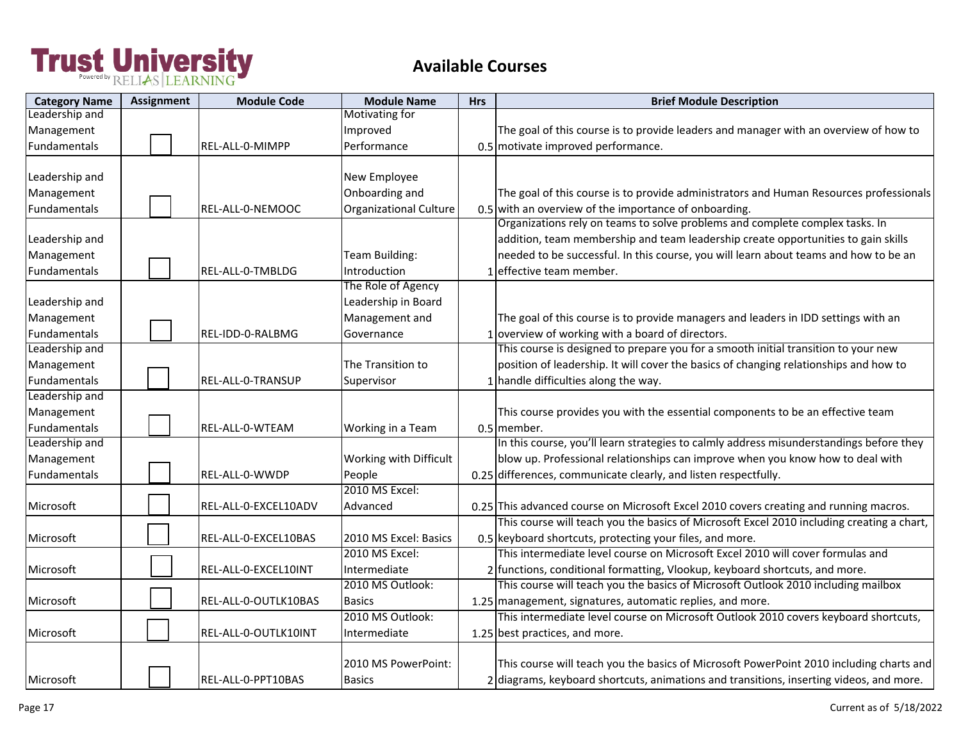| <b>Category Name</b> | <b>Assignment</b> | <b>Module Code</b>   | <b>Module Name</b>     | <b>Hrs</b> | <b>Brief Module Description</b>                                                           |
|----------------------|-------------------|----------------------|------------------------|------------|-------------------------------------------------------------------------------------------|
| Leadership and       |                   |                      | <b>Motivating for</b>  |            |                                                                                           |
| Management           |                   |                      | Improved               |            | The goal of this course is to provide leaders and manager with an overview of how to      |
| Fundamentals         |                   | REL-ALL-0-MIMPP      | Performance            |            | 0.5 motivate improved performance.                                                        |
|                      |                   |                      |                        |            |                                                                                           |
| Leadership and       |                   |                      | New Employee           |            |                                                                                           |
| Management           |                   |                      | Onboarding and         |            | The goal of this course is to provide administrators and Human Resources professionals    |
| Fundamentals         |                   | REL-ALL-0-NEMOOC     | Organizational Culture |            | 0.5 with an overview of the importance of onboarding.                                     |
|                      |                   |                      |                        |            | Organizations rely on teams to solve problems and complete complex tasks. In              |
| Leadership and       |                   |                      |                        |            | addition, team membership and team leadership create opportunities to gain skills         |
| Management           |                   |                      | Team Building:         |            | needed to be successful. In this course, you will learn about teams and how to be an      |
| Fundamentals         |                   | REL-ALL-0-TMBLDG     | Introduction           |            | effective team member.                                                                    |
|                      |                   |                      | The Role of Agency     |            |                                                                                           |
| Leadership and       |                   |                      | Leadership in Board    |            |                                                                                           |
| Management           |                   |                      | Management and         |            | The goal of this course is to provide managers and leaders in IDD settings with an        |
| Fundamentals         |                   | REL-IDD-0-RALBMG     | Governance             |            | 1 overview of working with a board of directors.                                          |
| Leadership and       |                   |                      |                        |            | This course is designed to prepare you for a smooth initial transition to your new        |
| Management           |                   |                      | The Transition to      |            | position of leadership. It will cover the basics of changing relationships and how to     |
| Fundamentals         |                   | REL-ALL-0-TRANSUP    | Supervisor             |            | 1 handle difficulties along the way.                                                      |
| Leadership and       |                   |                      |                        |            |                                                                                           |
| Management           |                   |                      |                        |            | This course provides you with the essential components to be an effective team            |
| Fundamentals         |                   | REL-ALL-0-WTEAM      | Working in a Team      |            | 0.5 member.                                                                               |
| Leadership and       |                   |                      |                        |            | In this course, you'll learn strategies to calmly address misunderstandings before they   |
| Management           |                   |                      | Working with Difficult |            | blow up. Professional relationships can improve when you know how to deal with            |
| Fundamentals         |                   | REL-ALL-0-WWDP       | People                 |            | 0.25 differences, communicate clearly, and listen respectfully.                           |
|                      |                   |                      | 2010 MS Excel:         |            |                                                                                           |
| Microsoft            |                   | REL-ALL-0-EXCEL10ADV | Advanced               |            | 0.25 This advanced course on Microsoft Excel 2010 covers creating and running macros.     |
|                      |                   |                      |                        |            | This course will teach you the basics of Microsoft Excel 2010 including creating a chart, |
| Microsoft            |                   | REL-ALL-0-EXCEL10BAS | 2010 MS Excel: Basics  |            | 0.5 keyboard shortcuts, protecting your files, and more.                                  |
|                      |                   |                      | 2010 MS Excel:         |            | This intermediate level course on Microsoft Excel 2010 will cover formulas and            |
| Microsoft            |                   | REL-ALL-0-EXCEL10INT | Intermediate           |            | 2 functions, conditional formatting, Vlookup, keyboard shortcuts, and more.               |
|                      |                   |                      | 2010 MS Outlook:       |            | This course will teach you the basics of Microsoft Outlook 2010 including mailbox         |
| Microsoft            |                   | REL-ALL-0-OUTLK10BAS | <b>Basics</b>          |            | 1.25 management, signatures, automatic replies, and more.                                 |
|                      |                   |                      | 2010 MS Outlook:       |            | This intermediate level course on Microsoft Outlook 2010 covers keyboard shortcuts,       |
| Microsoft            |                   | REL-ALL-0-OUTLK10INT | Intermediate           |            | 1.25 best practices, and more.                                                            |
|                      |                   |                      |                        |            |                                                                                           |
|                      |                   |                      | 2010 MS PowerPoint:    |            | This course will teach you the basics of Microsoft PowerPoint 2010 including charts and   |
| Microsoft            |                   | REL-ALL-0-PPT10BAS   | <b>Basics</b>          |            | 2 diagrams, keyboard shortcuts, animations and transitions, inserting videos, and more.   |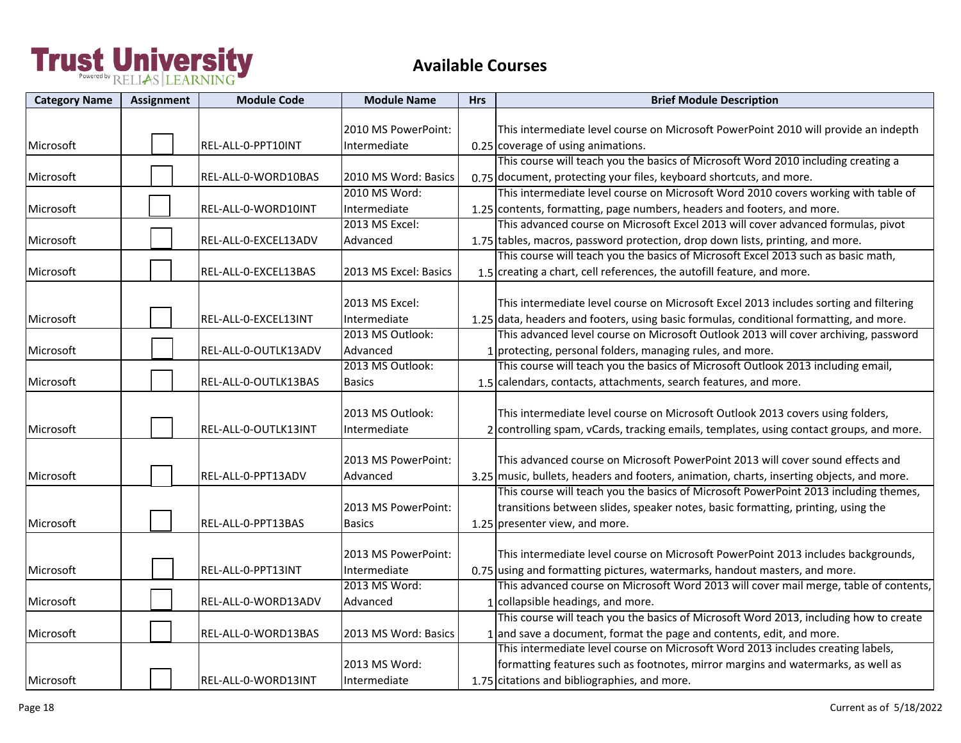| <b>Category Name</b> | <b>Assignment</b> | <b>Module Code</b>   | <b>Module Name</b>                                 | <b>Hrs</b> | <b>Brief Module Description</b>                                                                                                                                                                                                                                         |
|----------------------|-------------------|----------------------|----------------------------------------------------|------------|-------------------------------------------------------------------------------------------------------------------------------------------------------------------------------------------------------------------------------------------------------------------------|
| Microsoft            |                   | REL-ALL-0-PPT10INT   | 2010 MS PowerPoint:<br>Intermediate                |            | This intermediate level course on Microsoft PowerPoint 2010 will provide an indepth<br>0.25 coverage of using animations.                                                                                                                                               |
| Microsoft            |                   | REL-ALL-0-WORD10BAS  | 2010 MS Word: Basics                               |            | This course will teach you the basics of Microsoft Word 2010 including creating a<br>0.75 document, protecting your files, keyboard shortcuts, and more.                                                                                                                |
| Microsoft            |                   | REL-ALL-0-WORD10INT  | 2010 MS Word:<br>Intermediate                      |            | This intermediate level course on Microsoft Word 2010 covers working with table of<br>1.25 contents, formatting, page numbers, headers and footers, and more.                                                                                                           |
| Microsoft            |                   | REL-ALL-0-EXCEL13ADV | 2013 MS Excel:<br>Advanced                         |            | This advanced course on Microsoft Excel 2013 will cover advanced formulas, pivot<br>1.75 tables, macros, password protection, drop down lists, printing, and more.                                                                                                      |
| Microsoft            |                   | REL-ALL-0-EXCEL13BAS | 2013 MS Excel: Basics                              |            | This course will teach you the basics of Microsoft Excel 2013 such as basic math,<br>1.5 creating a chart, cell references, the autofill feature, and more.                                                                                                             |
| Microsoft            |                   | REL-ALL-0-EXCEL13INT | 2013 MS Excel:<br>Intermediate<br>2013 MS Outlook: |            | This intermediate level course on Microsoft Excel 2013 includes sorting and filtering<br>1.25 data, headers and footers, using basic formulas, conditional formatting, and more.<br>This advanced level course on Microsoft Outlook 2013 will cover archiving, password |
| Microsoft            |                   | REL-ALL-0-OUTLK13ADV | Advanced                                           |            | 1 protecting, personal folders, managing rules, and more.                                                                                                                                                                                                               |
| Microsoft            |                   | REL-ALL-0-OUTLK13BAS | 2013 MS Outlook:<br><b>Basics</b>                  |            | This course will teach you the basics of Microsoft Outlook 2013 including email,<br>1.5 calendars, contacts, attachments, search features, and more.                                                                                                                    |
| Microsoft            |                   | REL-ALL-0-OUTLK13INT | 2013 MS Outlook:<br>Intermediate                   |            | This intermediate level course on Microsoft Outlook 2013 covers using folders,<br>2 controlling spam, vCards, tracking emails, templates, using contact groups, and more.                                                                                               |
| Microsoft            |                   | REL-ALL-0-PPT13ADV   | 2013 MS PowerPoint:<br>Advanced                    |            | This advanced course on Microsoft PowerPoint 2013 will cover sound effects and<br>3.25 music, bullets, headers and footers, animation, charts, inserting objects, and more.                                                                                             |
| Microsoft            |                   | REL-ALL-0-PPT13BAS   | 2013 MS PowerPoint:<br><b>Basics</b>               |            | This course will teach you the basics of Microsoft PowerPoint 2013 including themes,<br>transitions between slides, speaker notes, basic formatting, printing, using the<br>1.25 presenter view, and more.                                                              |
| Microsoft            |                   | REL-ALL-0-PPT13INT   | 2013 MS PowerPoint:<br>Intermediate                |            | This intermediate level course on Microsoft PowerPoint 2013 includes backgrounds,<br>0.75 using and formatting pictures, watermarks, handout masters, and more.                                                                                                         |
| Microsoft            |                   | REL-ALL-0-WORD13ADV  | 2013 MS Word:<br>Advanced                          |            | This advanced course on Microsoft Word 2013 will cover mail merge, table of contents,<br>1 collapsible headings, and more.                                                                                                                                              |
| Microsoft            |                   | REL-ALL-0-WORD13BAS  | 2013 MS Word: Basics                               |            | This course will teach you the basics of Microsoft Word 2013, including how to create<br>$1$ and save a document, format the page and contents, edit, and more.                                                                                                         |
| Microsoft            |                   | REL-ALL-0-WORD13INT  | 2013 MS Word:<br>Intermediate                      |            | This intermediate level course on Microsoft Word 2013 includes creating labels,<br>formatting features such as footnotes, mirror margins and watermarks, as well as<br>1.75 citations and bibliographies, and more.                                                     |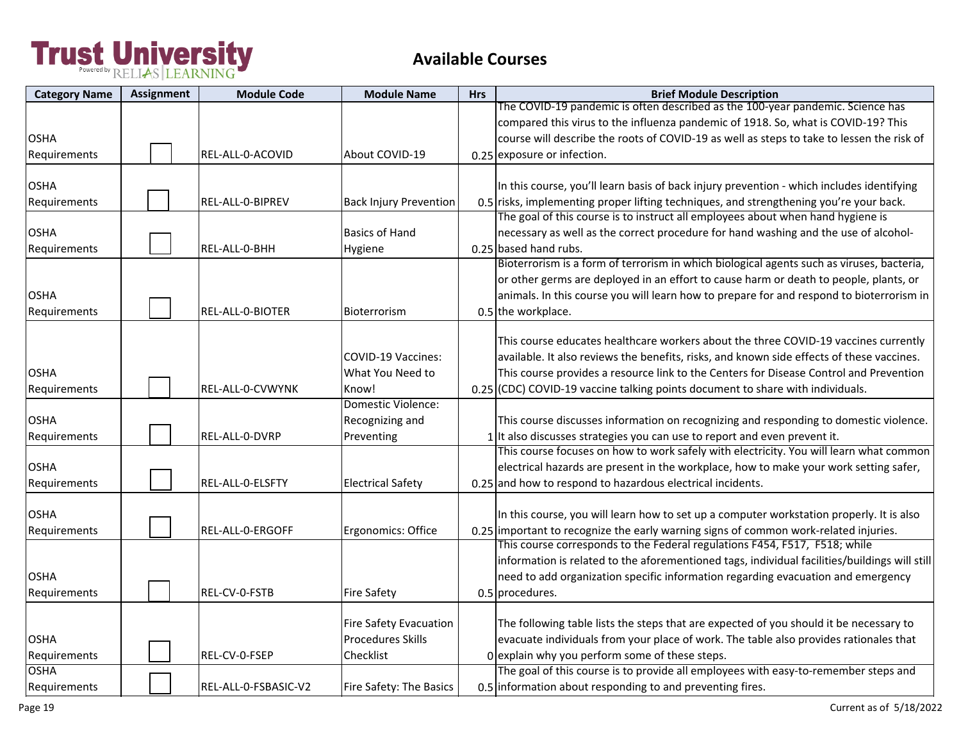| <b>Category Name</b> | <b>Assignment</b> | <b>Module Code</b>   | <b>Module Name</b>            | <b>Hrs</b> | <b>Brief Module Description</b>                                                               |
|----------------------|-------------------|----------------------|-------------------------------|------------|-----------------------------------------------------------------------------------------------|
|                      |                   |                      |                               |            | The COVID-19 pandemic is often described as the 100-year pandemic. Science has                |
|                      |                   |                      |                               |            | compared this virus to the influenza pandemic of 1918. So, what is COVID-19? This             |
| <b>OSHA</b>          |                   |                      |                               |            | course will describe the roots of COVID-19 as well as steps to take to lessen the risk of     |
| Requirements         |                   | REL-ALL-0-ACOVID     | About COVID-19                |            | 0.25 exposure or infection.                                                                   |
|                      |                   |                      |                               |            |                                                                                               |
| <b>OSHA</b>          |                   |                      |                               |            | In this course, you'll learn basis of back injury prevention - which includes identifying     |
| Requirements         |                   | REL-ALL-0-BIPREV     | <b>Back Injury Prevention</b> |            | 0.5 risks, implementing proper lifting techniques, and strengthening you're your back.        |
|                      |                   |                      |                               |            | The goal of this course is to instruct all employees about when hand hygiene is               |
| <b>OSHA</b>          |                   |                      | <b>Basics of Hand</b>         |            | necessary as well as the correct procedure for hand washing and the use of alcohol-           |
| Requirements         |                   | REL-ALL-0-BHH        | Hygiene                       |            | 0.25 based hand rubs.                                                                         |
|                      |                   |                      |                               |            | Bioterrorism is a form of terrorism in which biological agents such as viruses, bacteria,     |
|                      |                   |                      |                               |            | or other germs are deployed in an effort to cause harm or death to people, plants, or         |
| <b>OSHA</b>          |                   |                      |                               |            | animals. In this course you will learn how to prepare for and respond to bioterrorism in      |
| Requirements         |                   | REL-ALL-0-BIOTER     | Bioterrorism                  |            | 0.5 the workplace.                                                                            |
|                      |                   |                      |                               |            |                                                                                               |
|                      |                   |                      |                               |            | This course educates healthcare workers about the three COVID-19 vaccines currently           |
|                      |                   |                      | <b>COVID-19 Vaccines:</b>     |            | available. It also reviews the benefits, risks, and known side effects of these vaccines.     |
| <b>OSHA</b>          |                   |                      | What You Need to              |            | This course provides a resource link to the Centers for Disease Control and Prevention        |
| Requirements         |                   | REL-ALL-0-CVWYNK     | Know!                         |            | 0.25 (CDC) COVID-19 vaccine talking points document to share with individuals.                |
|                      |                   |                      | Domestic Violence:            |            |                                                                                               |
| OSHA                 |                   |                      | Recognizing and               |            | This course discusses information on recognizing and responding to domestic violence.         |
| Requirements         |                   | REL-ALL-0-DVRP       | Preventing                    |            | $1$ It also discusses strategies you can use to report and even prevent it.                   |
|                      |                   |                      |                               |            | This course focuses on how to work safely with electricity. You will learn what common        |
| <b>OSHA</b>          |                   |                      |                               |            | electrical hazards are present in the workplace, how to make your work setting safer,         |
| Requirements         |                   | REL-ALL-0-ELSFTY     | <b>Electrical Safety</b>      |            | 0.25 and how to respond to hazardous electrical incidents.                                    |
|                      |                   |                      |                               |            |                                                                                               |
| <b>OSHA</b>          |                   |                      |                               |            | In this course, you will learn how to set up a computer workstation properly. It is also      |
| Requirements         |                   | REL-ALL-0-ERGOFF     | Ergonomics: Office            |            | 0.25 important to recognize the early warning signs of common work-related injuries.          |
|                      |                   |                      |                               |            | This course corresponds to the Federal regulations F454, F517, F518; while                    |
|                      |                   |                      |                               |            | information is related to the aforementioned tags, individual facilities/buildings will still |
| <b>OSHA</b>          |                   |                      |                               |            | need to add organization specific information regarding evacuation and emergency              |
| Requirements         |                   | REL-CV-0-FSTB        | <b>Fire Safety</b>            |            | 0.5 procedures.                                                                               |
|                      |                   |                      |                               |            |                                                                                               |
|                      |                   |                      | <b>Fire Safety Evacuation</b> |            | The following table lists the steps that are expected of you should it be necessary to        |
| <b>OSHA</b>          |                   |                      | <b>Procedures Skills</b>      |            | evacuate individuals from your place of work. The table also provides rationales that         |
| Requirements         |                   | REL-CV-0-FSEP        | Checklist                     |            | O explain why you perform some of these steps.                                                |
| <b>OSHA</b>          |                   |                      |                               |            | The goal of this course is to provide all employees with easy-to-remember steps and           |
| Requirements         |                   | REL-ALL-0-FSBASIC-V2 | Fire Safety: The Basics       |            | 0.5 information about responding to and preventing fires.                                     |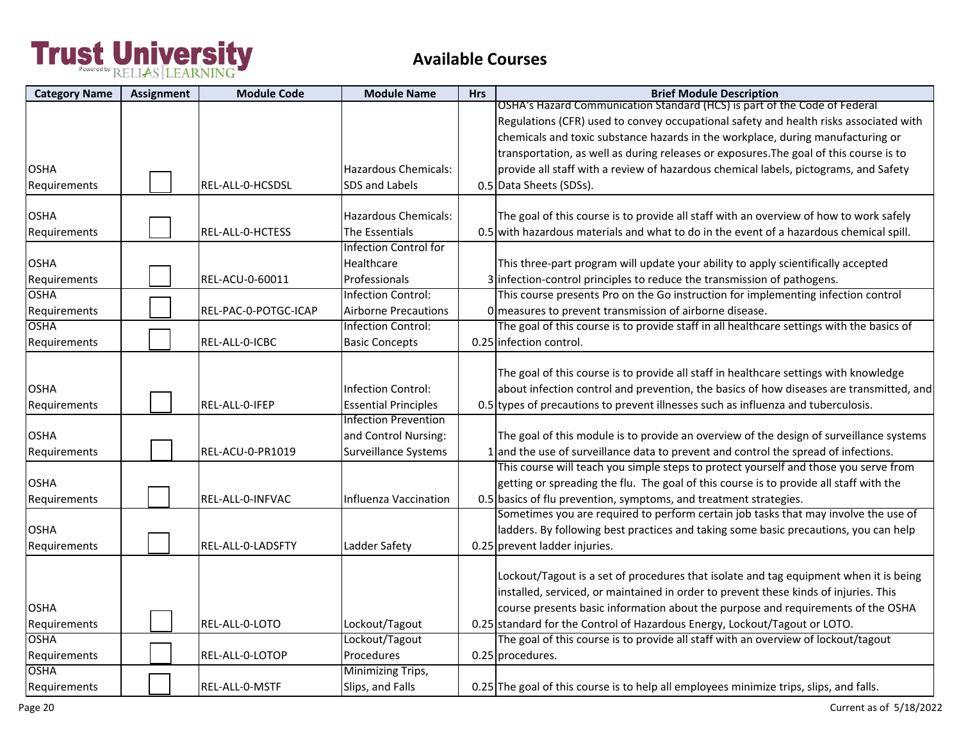| <b>Category Name</b>        | <b>Assignment</b> | <b>Module Code</b>   | <b>Module Name</b>                                         | <b>Hrs</b> | <b>Brief Module Description</b>                                                           |
|-----------------------------|-------------------|----------------------|------------------------------------------------------------|------------|-------------------------------------------------------------------------------------------|
|                             |                   |                      |                                                            |            | OSHA's Hazard Communication Standard (HCS) is part of the Code of Federal                 |
|                             |                   |                      |                                                            |            | Regulations (CFR) used to convey occupational safety and health risks associated with     |
|                             |                   |                      |                                                            |            | chemicals and toxic substance hazards in the workplace, during manufacturing or           |
|                             |                   |                      |                                                            |            | transportation, as well as during releases or exposures. The goal of this course is to    |
| <b>OSHA</b>                 |                   |                      | <b>Hazardous Chemicals:</b>                                |            | provide all staff with a review of hazardous chemical labels, pictograms, and Safety      |
| Requirements                |                   | REL-ALL-0-HCSDSL     | SDS and Labels                                             |            | 0.5 Data Sheets (SDSs).                                                                   |
| <b>OSHA</b>                 |                   |                      | <b>Hazardous Chemicals:</b>                                |            | The goal of this course is to provide all staff with an overview of how to work safely    |
| Requirements                |                   | REL-ALL-0-HCTESS     | The Essentials                                             |            | 0.5 with hazardous materials and what to do in the event of a hazardous chemical spill.   |
|                             |                   |                      | <b>Infection Control for</b>                               |            |                                                                                           |
| <b>OSHA</b>                 |                   |                      | Healthcare                                                 |            | This three-part program will update your ability to apply scientifically accepted         |
|                             |                   | REL-ACU-0-60011      | Professionals                                              |            | 3 infection-control principles to reduce the transmission of pathogens.                   |
| Requirements<br><b>OSHA</b> |                   |                      | Infection Control:                                         |            | This course presents Pro on the Go instruction for implementing infection control         |
|                             |                   | REL-PAC-0-POTGC-ICAP | <b>Airborne Precautions</b>                                |            |                                                                                           |
| Requirements<br><b>OSHA</b> |                   |                      | Infection Control:                                         |            | O measures to prevent transmission of airborne disease.                                   |
|                             |                   |                      |                                                            |            | The goal of this course is to provide staff in all healthcare settings with the basics of |
| Requirements                |                   | REL-ALL-0-ICBC       | <b>Basic Concepts</b>                                      |            | 0.25 infection control.                                                                   |
|                             |                   |                      |                                                            |            | The goal of this course is to provide all staff in healthcare settings with knowledge     |
|                             |                   |                      |                                                            |            |                                                                                           |
| <b>OSHA</b>                 |                   |                      | Infection Control:                                         |            | about infection control and prevention, the basics of how diseases are transmitted, and   |
| Requirements                |                   | REL-ALL-0-IFEP       | <b>Essential Principles</b><br><b>Infection Prevention</b> |            | 0.5 types of precautions to prevent illnesses such as influenza and tuberculosis.         |
|                             |                   |                      |                                                            |            |                                                                                           |
| <b>OSHA</b>                 |                   |                      | and Control Nursing:                                       |            | The goal of this module is to provide an overview of the design of surveillance systems   |
| Requirements                |                   | REL-ACU-0-PR1019     | <b>Surveillance Systems</b>                                |            | 1 and the use of surveillance data to prevent and control the spread of infections.       |
|                             |                   |                      |                                                            |            | This course will teach you simple steps to protect yourself and those you serve from      |
| <b>OSHA</b>                 |                   |                      |                                                            |            | getting or spreading the flu. The goal of this course is to provide all staff with the    |
| Requirements                |                   | REL-ALL-0-INFVAC     | Influenza Vaccination                                      |            | 0.5 basics of flu prevention, symptoms, and treatment strategies.                         |
|                             |                   |                      |                                                            |            | Sometimes you are required to perform certain job tasks that may involve the use of       |
| <b>OSHA</b>                 |                   |                      |                                                            |            | ladders. By following best practices and taking some basic precautions, you can help      |
| Requirements                |                   | REL-ALL-0-LADSFTY    | Ladder Safety                                              |            | 0.25 prevent ladder injuries.                                                             |
|                             |                   |                      |                                                            |            |                                                                                           |
|                             |                   |                      |                                                            |            | Lockout/Tagout is a set of procedures that isolate and tag equipment when it is being     |
|                             |                   |                      |                                                            |            | installed, serviced, or maintained in order to prevent these kinds of injuries. This      |
| <b>OSHA</b>                 |                   |                      |                                                            |            | course presents basic information about the purpose and requirements of the OSHA          |
| Requirements                |                   | REL-ALL-0-LOTO       | Lockout/Tagout                                             |            | 0.25 standard for the Control of Hazardous Energy, Lockout/Tagout or LOTO.                |
| <b>OSHA</b>                 |                   |                      | Lockout/Tagout                                             |            | The goal of this course is to provide all staff with an overview of lockout/tagout        |
| Requirements                |                   | REL-ALL-0-LOTOP      | Procedures                                                 |            | 0.25 procedures.                                                                          |
| <b>OSHA</b>                 |                   |                      | Minimizing Trips,                                          |            |                                                                                           |
| Requirements                |                   | REL-ALL-0-MSTF       | Slips, and Falls                                           |            | 0.25 The goal of this course is to help all employees minimize trips, slips, and falls.   |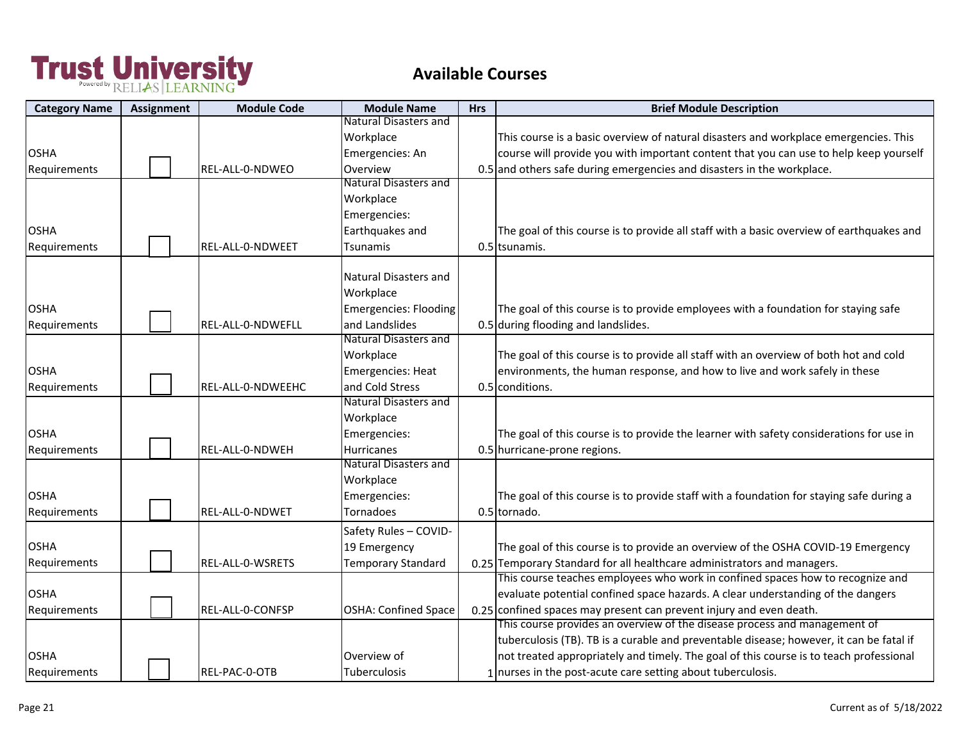| <b>Category Name</b> | <b>Assignment</b> | <b>Module Code</b> | <b>Module Name</b>           | <b>Hrs</b> | <b>Brief Module Description</b>                                                          |
|----------------------|-------------------|--------------------|------------------------------|------------|------------------------------------------------------------------------------------------|
|                      |                   |                    | <b>Natural Disasters and</b> |            |                                                                                          |
|                      |                   |                    | Workplace                    |            | This course is a basic overview of natural disasters and workplace emergencies. This     |
| <b>OSHA</b>          |                   |                    | Emergencies: An              |            | course will provide you with important content that you can use to help keep yourself    |
| Requirements         |                   | REL-ALL-0-NDWEO    | Overview                     |            | 0.5 and others safe during emergencies and disasters in the workplace.                   |
|                      |                   |                    | Natural Disasters and        |            |                                                                                          |
|                      |                   |                    | Workplace                    |            |                                                                                          |
|                      |                   |                    | Emergencies:                 |            |                                                                                          |
| <b>OSHA</b>          |                   |                    | Earthquakes and              |            | The goal of this course is to provide all staff with a basic overview of earthquakes and |
| Requirements         |                   | REL-ALL-0-NDWEET   | Tsunamis                     |            | 0.5 tsunamis.                                                                            |
|                      |                   |                    | Natural Disasters and        |            |                                                                                          |
|                      |                   |                    | Workplace                    |            |                                                                                          |
| <b>OSHA</b>          |                   |                    | Emergencies: Flooding        |            | The goal of this course is to provide employees with a foundation for staying safe       |
| Requirements         |                   | REL-ALL-0-NDWEFLL  | and Landslides               |            | 0.5 during flooding and landslides.                                                      |
|                      |                   |                    | <b>Natural Disasters and</b> |            |                                                                                          |
|                      |                   |                    | Workplace                    |            | The goal of this course is to provide all staff with an overview of both hot and cold    |
| <b>OSHA</b>          |                   |                    | <b>Emergencies: Heat</b>     |            | environments, the human response, and how to live and work safely in these               |
| Requirements         |                   | REL-ALL-0-NDWEEHC  | and Cold Stress              |            | 0.5 conditions.                                                                          |
|                      |                   |                    | <b>Natural Disasters and</b> |            |                                                                                          |
|                      |                   |                    | Workplace                    |            |                                                                                          |
| <b>OSHA</b>          |                   |                    | Emergencies:                 |            | The goal of this course is to provide the learner with safety considerations for use in  |
| Requirements         |                   | REL-ALL-0-NDWEH    | <b>Hurricanes</b>            |            | 0.5 hurricane-prone regions.                                                             |
|                      |                   |                    | <b>Natural Disasters and</b> |            |                                                                                          |
|                      |                   |                    | Workplace                    |            |                                                                                          |
| <b>OSHA</b>          |                   |                    | Emergencies:                 |            | The goal of this course is to provide staff with a foundation for staying safe during a  |
| Requirements         |                   | REL-ALL-0-NDWET    | Tornadoes                    |            | 0.5 tornado.                                                                             |
|                      |                   |                    | Safety Rules - COVID-        |            |                                                                                          |
| <b>OSHA</b>          |                   |                    | 19 Emergency                 |            | The goal of this course is to provide an overview of the OSHA COVID-19 Emergency         |
| Requirements         |                   | REL-ALL-0-WSRETS   | <b>Temporary Standard</b>    |            | 0.25 Temporary Standard for all healthcare administrators and managers.                  |
|                      |                   |                    |                              |            | This course teaches employees who work in confined spaces how to recognize and           |
| <b>OSHA</b>          |                   |                    |                              |            | evaluate potential confined space hazards. A clear understanding of the dangers          |
| Requirements         |                   | REL-ALL-0-CONFSP   | OSHA: Confined Space         |            | $0.25$ confined spaces may present can prevent injury and even death.                    |
|                      |                   |                    |                              |            | This course provides an overview of the disease process and management of                |
|                      |                   |                    |                              |            | tuberculosis (TB). TB is a curable and preventable disease; however, it can be fatal if  |
| <b>OSHA</b>          |                   |                    | Overview of                  |            | not treated appropriately and timely. The goal of this course is to teach professional   |
| Requirements         |                   | REL-PAC-0-OTB      | <b>Tuberculosis</b>          |            | 1 nurses in the post-acute care setting about tuberculosis.                              |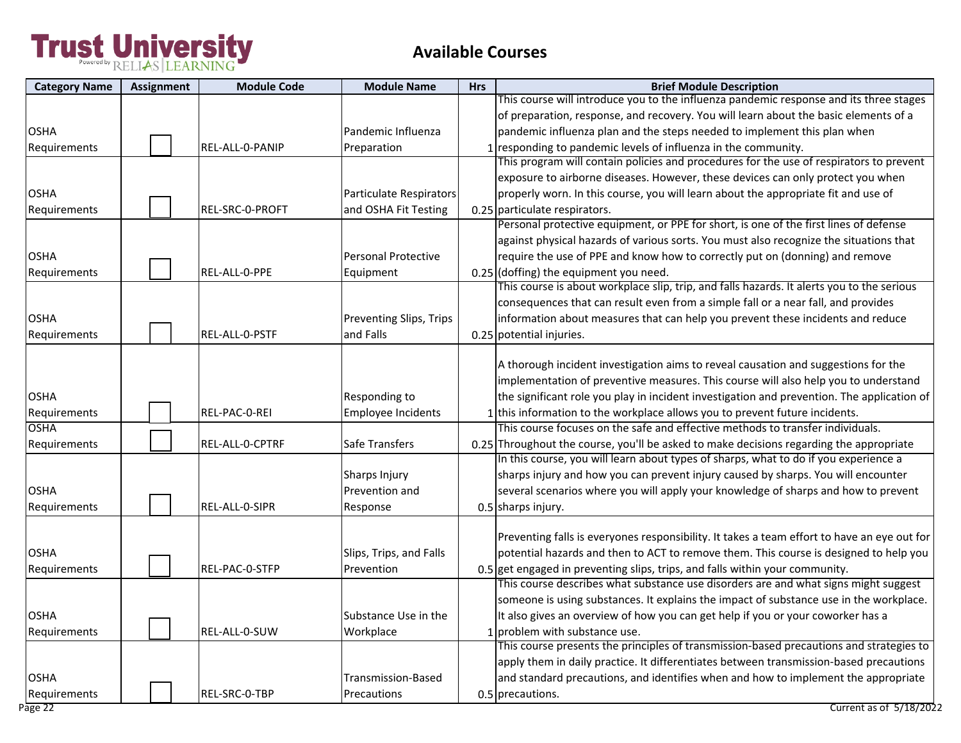| <b>Category Name</b> | Assignment | <b>Module Code</b>     | <b>Module Name</b>      | <b>Hrs</b> | <b>Brief Module Description</b>                                                             |
|----------------------|------------|------------------------|-------------------------|------------|---------------------------------------------------------------------------------------------|
|                      |            |                        |                         |            | This course will introduce you to the influenza pandemic response and its three stages      |
|                      |            |                        |                         |            | of preparation, response, and recovery. You will learn about the basic elements of a        |
| <b>OSHA</b>          |            |                        | Pandemic Influenza      |            | pandemic influenza plan and the steps needed to implement this plan when                    |
| Requirements         |            | <b>REL-ALL-0-PANIP</b> | Preparation             |            | 1 responding to pandemic levels of influenza in the community.                              |
|                      |            |                        |                         |            | This program will contain policies and procedures for the use of respirators to prevent     |
|                      |            |                        |                         |            | exposure to airborne diseases. However, these devices can only protect you when             |
| <b>OSHA</b>          |            |                        | Particulate Respirators |            | properly worn. In this course, you will learn about the appropriate fit and use of          |
| Requirements         |            | REL-SRC-0-PROFT        | and OSHA Fit Testing    |            | 0.25 particulate respirators.                                                               |
|                      |            |                        |                         |            | Personal protective equipment, or PPE for short, is one of the first lines of defense       |
|                      |            |                        |                         |            | against physical hazards of various sorts. You must also recognize the situations that      |
| <b>OSHA</b>          |            |                        | Personal Protective     |            | require the use of PPE and know how to correctly put on (donning) and remove                |
| Requirements         |            | REL-ALL-0-PPE          | Equipment               |            | $0.25$ (doffing) the equipment you need.                                                    |
|                      |            |                        |                         |            | This course is about workplace slip, trip, and falls hazards. It alerts you to the serious  |
|                      |            |                        |                         |            | consequences that can result even from a simple fall or a near fall, and provides           |
| <b>OSHA</b>          |            |                        | Preventing Slips, Trips |            | information about measures that can help you prevent these incidents and reduce             |
| Requirements         |            | REL-ALL-0-PSTF         | and Falls               |            | 0.25 potential injuries.                                                                    |
|                      |            |                        |                         |            |                                                                                             |
|                      |            |                        |                         |            | A thorough incident investigation aims to reveal causation and suggestions for the          |
|                      |            |                        |                         |            | implementation of preventive measures. This course will also help you to understand         |
| <b>OSHA</b>          |            |                        | Responding to           |            | the significant role you play in incident investigation and prevention. The application of  |
| Requirements         |            | REL-PAC-0-REI          | Employee Incidents      |            | 1 this information to the workplace allows you to prevent future incidents.                 |
| <b>OSHA</b>          |            |                        |                         |            | This course focuses on the safe and effective methods to transfer individuals.              |
| Requirements         |            | REL-ALL-0-CPTRF        | Safe Transfers          |            | 0.25 Throughout the course, you'll be asked to make decisions regarding the appropriate     |
|                      |            |                        |                         |            | In this course, you will learn about types of sharps, what to do if you experience a        |
|                      |            |                        | Sharps Injury           |            | sharps injury and how you can prevent injury caused by sharps. You will encounter           |
| <b>OSHA</b>          |            |                        | Prevention and          |            | several scenarios where you will apply your knowledge of sharps and how to prevent          |
| Requirements         |            | REL-ALL-0-SIPR         | Response                |            | 0.5 sharps injury.                                                                          |
|                      |            |                        |                         |            |                                                                                             |
|                      |            |                        |                         |            | Preventing falls is everyones responsibility. It takes a team effort to have an eye out for |
| <b>OSHA</b>          |            |                        | Slips, Trips, and Falls |            | potential hazards and then to ACT to remove them. This course is designed to help you       |
| Requirements         |            | REL-PAC-0-STFP         | Prevention              |            | 0.5 get engaged in preventing slips, trips, and falls within your community.                |
|                      |            |                        |                         |            | This course describes what substance use disorders are and what signs might suggest         |
|                      |            |                        |                         |            | someone is using substances. It explains the impact of substance use in the workplace.      |
| <b>OSHA</b>          |            |                        | Substance Use in the    |            | It also gives an overview of how you can get help if you or your coworker has a             |
| Requirements         |            | REL-ALL-0-SUW          | Workplace               |            | 1 problem with substance use.                                                               |
|                      |            |                        |                         |            | This course presents the principles of transmission-based precautions and strategies to     |
|                      |            |                        |                         |            | apply them in daily practice. It differentiates between transmission-based precautions      |
| <b>OSHA</b>          |            |                        | Transmission-Based      |            | and standard precautions, and identifies when and how to implement the appropriate          |
| Requirements         |            | REL-SRC-0-TBP          | Precautions             |            | 0.5 precautions.                                                                            |
| Page 22              |            |                        |                         |            | Current as of 5/18/2022                                                                     |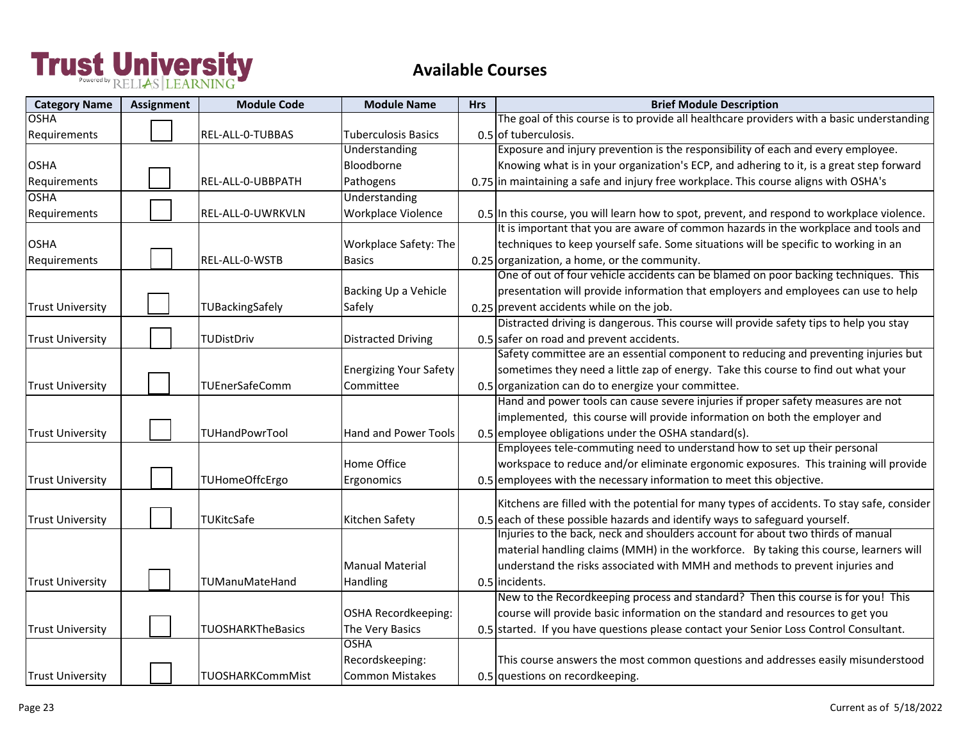| <b>OSHA</b><br><b>Tuberculosis Basics</b><br>0.5 of tuberculosis.<br>Requirements<br>REL-ALL-0-TUBBAS<br>Exposure and injury prevention is the responsibility of each and every employee.<br>Understanding<br>Bloodborne<br>Knowing what is in your organization's ECP, and adhering to it, is a great step forward<br>0.75 in maintaining a safe and injury free workplace. This course aligns with OSHA's<br>REL-ALL-0-UBBPATH<br>Pathogens<br>Requirements<br><b>Understanding</b><br>Workplace Violence<br>REL-ALL-0-UWRKVLN<br>0.5 In this course, you will learn how to spot, prevent, and respond to workplace violence.<br>It is important that you are aware of common hazards in the workplace and tools and<br>techniques to keep yourself safe. Some situations will be specific to working in an<br>Workplace Safety: The<br>0.25 organization, a home, or the community.<br>REL-ALL-0-WSTB<br><b>Basics</b><br>One of out of four vehicle accidents can be blamed on poor backing techniques. This<br>presentation will provide information that employers and employees can use to help<br>Backing Up a Vehicle<br>$0.25$ prevent accidents while on the job.<br>TUBackingSafely<br>Safely<br><b>Trust University</b><br>Distracted driving is dangerous. This course will provide safety tips to help you stay<br>0.5 safer on road and prevent accidents.<br><b>Distracted Driving</b><br><b>Trust University</b><br>TUDistDriv | <b>Category Name</b> | <b>Assignment</b> | <b>Module Code</b> | <b>Module Name</b> | <b>Hrs</b> | <b>Brief Module Description</b>                                                            |
|--------------------------------------------------------------------------------------------------------------------------------------------------------------------------------------------------------------------------------------------------------------------------------------------------------------------------------------------------------------------------------------------------------------------------------------------------------------------------------------------------------------------------------------------------------------------------------------------------------------------------------------------------------------------------------------------------------------------------------------------------------------------------------------------------------------------------------------------------------------------------------------------------------------------------------------------------------------------------------------------------------------------------------------------------------------------------------------------------------------------------------------------------------------------------------------------------------------------------------------------------------------------------------------------------------------------------------------------------------------------------------------------------------------------------------------------------|----------------------|-------------------|--------------------|--------------------|------------|--------------------------------------------------------------------------------------------|
| <b>OSHA</b><br><b>OSHA</b><br>Requirements<br><b>OSHA</b><br>Requirements                                                                                                                                                                                                                                                                                                                                                                                                                                                                                                                                                                                                                                                                                                                                                                                                                                                                                                                                                                                                                                                                                                                                                                                                                                                                                                                                                                        |                      |                   |                    |                    |            | The goal of this course is to provide all healthcare providers with a basic understanding  |
|                                                                                                                                                                                                                                                                                                                                                                                                                                                                                                                                                                                                                                                                                                                                                                                                                                                                                                                                                                                                                                                                                                                                                                                                                                                                                                                                                                                                                                                  |                      |                   |                    |                    |            |                                                                                            |
|                                                                                                                                                                                                                                                                                                                                                                                                                                                                                                                                                                                                                                                                                                                                                                                                                                                                                                                                                                                                                                                                                                                                                                                                                                                                                                                                                                                                                                                  |                      |                   |                    |                    |            |                                                                                            |
|                                                                                                                                                                                                                                                                                                                                                                                                                                                                                                                                                                                                                                                                                                                                                                                                                                                                                                                                                                                                                                                                                                                                                                                                                                                                                                                                                                                                                                                  |                      |                   |                    |                    |            |                                                                                            |
|                                                                                                                                                                                                                                                                                                                                                                                                                                                                                                                                                                                                                                                                                                                                                                                                                                                                                                                                                                                                                                                                                                                                                                                                                                                                                                                                                                                                                                                  |                      |                   |                    |                    |            |                                                                                            |
|                                                                                                                                                                                                                                                                                                                                                                                                                                                                                                                                                                                                                                                                                                                                                                                                                                                                                                                                                                                                                                                                                                                                                                                                                                                                                                                                                                                                                                                  |                      |                   |                    |                    |            |                                                                                            |
|                                                                                                                                                                                                                                                                                                                                                                                                                                                                                                                                                                                                                                                                                                                                                                                                                                                                                                                                                                                                                                                                                                                                                                                                                                                                                                                                                                                                                                                  |                      |                   |                    |                    |            |                                                                                            |
|                                                                                                                                                                                                                                                                                                                                                                                                                                                                                                                                                                                                                                                                                                                                                                                                                                                                                                                                                                                                                                                                                                                                                                                                                                                                                                                                                                                                                                                  |                      |                   |                    |                    |            |                                                                                            |
|                                                                                                                                                                                                                                                                                                                                                                                                                                                                                                                                                                                                                                                                                                                                                                                                                                                                                                                                                                                                                                                                                                                                                                                                                                                                                                                                                                                                                                                  |                      |                   |                    |                    |            |                                                                                            |
|                                                                                                                                                                                                                                                                                                                                                                                                                                                                                                                                                                                                                                                                                                                                                                                                                                                                                                                                                                                                                                                                                                                                                                                                                                                                                                                                                                                                                                                  |                      |                   |                    |                    |            |                                                                                            |
|                                                                                                                                                                                                                                                                                                                                                                                                                                                                                                                                                                                                                                                                                                                                                                                                                                                                                                                                                                                                                                                                                                                                                                                                                                                                                                                                                                                                                                                  |                      |                   |                    |                    |            |                                                                                            |
|                                                                                                                                                                                                                                                                                                                                                                                                                                                                                                                                                                                                                                                                                                                                                                                                                                                                                                                                                                                                                                                                                                                                                                                                                                                                                                                                                                                                                                                  |                      |                   |                    |                    |            |                                                                                            |
|                                                                                                                                                                                                                                                                                                                                                                                                                                                                                                                                                                                                                                                                                                                                                                                                                                                                                                                                                                                                                                                                                                                                                                                                                                                                                                                                                                                                                                                  |                      |                   |                    |                    |            |                                                                                            |
|                                                                                                                                                                                                                                                                                                                                                                                                                                                                                                                                                                                                                                                                                                                                                                                                                                                                                                                                                                                                                                                                                                                                                                                                                                                                                                                                                                                                                                                  |                      |                   |                    |                    |            |                                                                                            |
|                                                                                                                                                                                                                                                                                                                                                                                                                                                                                                                                                                                                                                                                                                                                                                                                                                                                                                                                                                                                                                                                                                                                                                                                                                                                                                                                                                                                                                                  |                      |                   |                    |                    |            |                                                                                            |
|                                                                                                                                                                                                                                                                                                                                                                                                                                                                                                                                                                                                                                                                                                                                                                                                                                                                                                                                                                                                                                                                                                                                                                                                                                                                                                                                                                                                                                                  |                      |                   |                    |                    |            | Safety committee are an essential component to reducing and preventing injuries but        |
| sometimes they need a little zap of energy. Take this course to find out what your<br><b>Energizing Your Safety</b>                                                                                                                                                                                                                                                                                                                                                                                                                                                                                                                                                                                                                                                                                                                                                                                                                                                                                                                                                                                                                                                                                                                                                                                                                                                                                                                              |                      |                   |                    |                    |            |                                                                                            |
| TUEnerSafeComm<br>Committee<br>0.5 organization can do to energize your committee.<br><b>Trust University</b>                                                                                                                                                                                                                                                                                                                                                                                                                                                                                                                                                                                                                                                                                                                                                                                                                                                                                                                                                                                                                                                                                                                                                                                                                                                                                                                                    |                      |                   |                    |                    |            |                                                                                            |
| Hand and power tools can cause severe injuries if proper safety measures are not                                                                                                                                                                                                                                                                                                                                                                                                                                                                                                                                                                                                                                                                                                                                                                                                                                                                                                                                                                                                                                                                                                                                                                                                                                                                                                                                                                 |                      |                   |                    |                    |            |                                                                                            |
| implemented, this course will provide information on both the employer and                                                                                                                                                                                                                                                                                                                                                                                                                                                                                                                                                                                                                                                                                                                                                                                                                                                                                                                                                                                                                                                                                                                                                                                                                                                                                                                                                                       |                      |                   |                    |                    |            |                                                                                            |
| <b>Hand and Power Tools</b><br>0.5 employee obligations under the OSHA standard(s).<br><b>Trust University</b><br>TUHandPowrTool                                                                                                                                                                                                                                                                                                                                                                                                                                                                                                                                                                                                                                                                                                                                                                                                                                                                                                                                                                                                                                                                                                                                                                                                                                                                                                                 |                      |                   |                    |                    |            |                                                                                            |
| Employees tele-commuting need to understand how to set up their personal                                                                                                                                                                                                                                                                                                                                                                                                                                                                                                                                                                                                                                                                                                                                                                                                                                                                                                                                                                                                                                                                                                                                                                                                                                                                                                                                                                         |                      |                   |                    |                    |            |                                                                                            |
| Home Office                                                                                                                                                                                                                                                                                                                                                                                                                                                                                                                                                                                                                                                                                                                                                                                                                                                                                                                                                                                                                                                                                                                                                                                                                                                                                                                                                                                                                                      |                      |                   |                    |                    |            | workspace to reduce and/or eliminate ergonomic exposures. This training will provide       |
| <b>TUHomeOffcErgo</b><br>0.5 employees with the necessary information to meet this objective.<br><b>Trust University</b><br>Ergonomics                                                                                                                                                                                                                                                                                                                                                                                                                                                                                                                                                                                                                                                                                                                                                                                                                                                                                                                                                                                                                                                                                                                                                                                                                                                                                                           |                      |                   |                    |                    |            |                                                                                            |
|                                                                                                                                                                                                                                                                                                                                                                                                                                                                                                                                                                                                                                                                                                                                                                                                                                                                                                                                                                                                                                                                                                                                                                                                                                                                                                                                                                                                                                                  |                      |                   |                    |                    |            | Kitchens are filled with the potential for many types of accidents. To stay safe, consider |
| 0.5 each of these possible hazards and identify ways to safeguard yourself.<br><b>Trust University</b><br>TUKitcSafe<br>Kitchen Safety                                                                                                                                                                                                                                                                                                                                                                                                                                                                                                                                                                                                                                                                                                                                                                                                                                                                                                                                                                                                                                                                                                                                                                                                                                                                                                           |                      |                   |                    |                    |            |                                                                                            |
| Injuries to the back, neck and shoulders account for about two thirds of manual                                                                                                                                                                                                                                                                                                                                                                                                                                                                                                                                                                                                                                                                                                                                                                                                                                                                                                                                                                                                                                                                                                                                                                                                                                                                                                                                                                  |                      |                   |                    |                    |            |                                                                                            |
| material handling claims (MMH) in the workforce. By taking this course, learners will                                                                                                                                                                                                                                                                                                                                                                                                                                                                                                                                                                                                                                                                                                                                                                                                                                                                                                                                                                                                                                                                                                                                                                                                                                                                                                                                                            |                      |                   |                    |                    |            |                                                                                            |
| <b>Manual Material</b><br>understand the risks associated with MMH and methods to prevent injuries and                                                                                                                                                                                                                                                                                                                                                                                                                                                                                                                                                                                                                                                                                                                                                                                                                                                                                                                                                                                                                                                                                                                                                                                                                                                                                                                                           |                      |                   |                    |                    |            |                                                                                            |
| <b>Trust University</b><br>TUManuMateHand<br>Handling<br>0.5 incidents.                                                                                                                                                                                                                                                                                                                                                                                                                                                                                                                                                                                                                                                                                                                                                                                                                                                                                                                                                                                                                                                                                                                                                                                                                                                                                                                                                                          |                      |                   |                    |                    |            |                                                                                            |
| New to the Recordkeeping process and standard? Then this course is for you! This                                                                                                                                                                                                                                                                                                                                                                                                                                                                                                                                                                                                                                                                                                                                                                                                                                                                                                                                                                                                                                                                                                                                                                                                                                                                                                                                                                 |                      |                   |                    |                    |            |                                                                                            |
| course will provide basic information on the standard and resources to get you<br>OSHA Recordkeeping:                                                                                                                                                                                                                                                                                                                                                                                                                                                                                                                                                                                                                                                                                                                                                                                                                                                                                                                                                                                                                                                                                                                                                                                                                                                                                                                                            |                      |                   |                    |                    |            |                                                                                            |
| <b>TUOSHARKTheBasics</b><br>The Very Basics<br>0.5 started. If you have questions please contact your Senior Loss Control Consultant.<br><b>Trust University</b>                                                                                                                                                                                                                                                                                                                                                                                                                                                                                                                                                                                                                                                                                                                                                                                                                                                                                                                                                                                                                                                                                                                                                                                                                                                                                 |                      |                   |                    |                    |            |                                                                                            |
| <b>OSHA</b>                                                                                                                                                                                                                                                                                                                                                                                                                                                                                                                                                                                                                                                                                                                                                                                                                                                                                                                                                                                                                                                                                                                                                                                                                                                                                                                                                                                                                                      |                      |                   |                    |                    |            |                                                                                            |
| Recordskeeping:<br>This course answers the most common questions and addresses easily misunderstood                                                                                                                                                                                                                                                                                                                                                                                                                                                                                                                                                                                                                                                                                                                                                                                                                                                                                                                                                                                                                                                                                                                                                                                                                                                                                                                                              |                      |                   |                    |                    |            |                                                                                            |
| <b>Trust University</b><br><b>TUOSHARKCommMist</b><br><b>Common Mistakes</b><br>0.5 questions on recordkeeping.                                                                                                                                                                                                                                                                                                                                                                                                                                                                                                                                                                                                                                                                                                                                                                                                                                                                                                                                                                                                                                                                                                                                                                                                                                                                                                                                  |                      |                   |                    |                    |            |                                                                                            |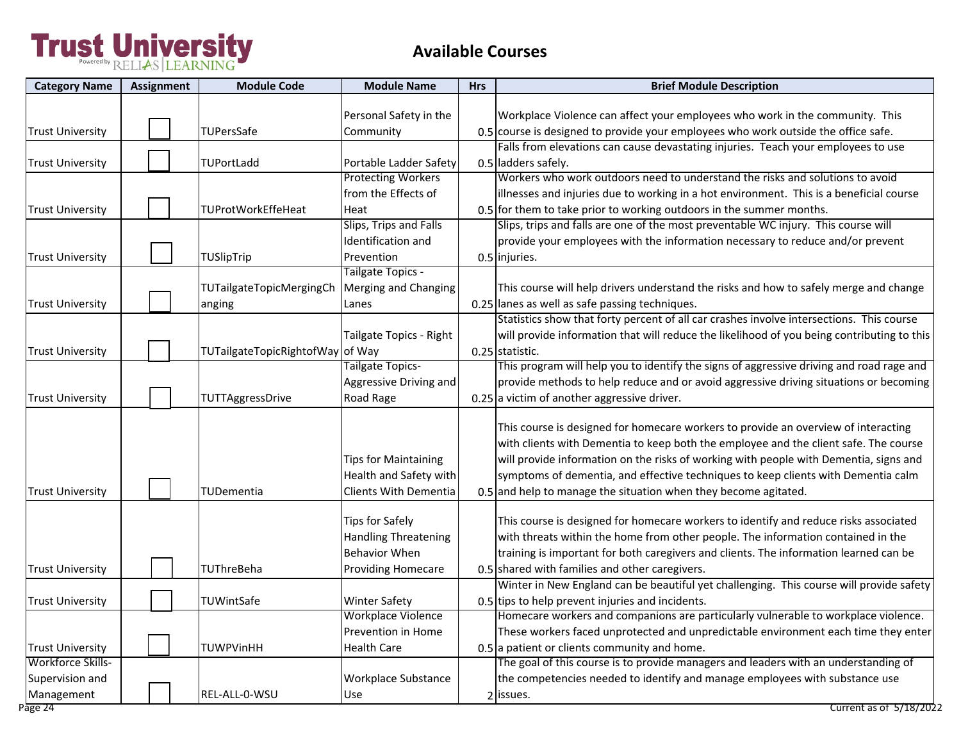| <b>Category Name</b>    | Assignment | <b>Module Code</b>              | <b>Module Name</b>          | <b>Hrs</b> | <b>Brief Module Description</b>                                                            |
|-------------------------|------------|---------------------------------|-----------------------------|------------|--------------------------------------------------------------------------------------------|
|                         |            |                                 |                             |            |                                                                                            |
|                         |            |                                 | Personal Safety in the      |            | Workplace Violence can affect your employees who work in the community. This               |
| <b>Trust University</b> |            | TUPersSafe                      | Community                   |            | 0.5 course is designed to provide your employees who work outside the office safe.         |
|                         |            |                                 |                             |            | Falls from elevations can cause devastating injuries. Teach your employees to use          |
| <b>Trust University</b> |            | TUPortLadd                      | Portable Ladder Safety      |            | 0.5 ladders safely.                                                                        |
|                         |            |                                 | <b>Protecting Workers</b>   |            | Workers who work outdoors need to understand the risks and solutions to avoid              |
|                         |            |                                 | from the Effects of         |            | illnesses and injuries due to working in a hot environment. This is a beneficial course    |
| <b>Trust University</b> |            | TUProtWorkEffeHeat              | Heat                        |            | 0.5 for them to take prior to working outdoors in the summer months.                       |
|                         |            |                                 | Slips, Trips and Falls      |            | Slips, trips and falls are one of the most preventable WC injury. This course will         |
|                         |            |                                 | Identification and          |            | provide your employees with the information necessary to reduce and/or prevent             |
| Trust University        |            | TUSlipTrip                      | Prevention                  |            | 0.5 injuries.                                                                              |
|                         |            |                                 | Tailgate Topics -           |            |                                                                                            |
|                         |            | <b>TUTailgateTopicMergingCh</b> | Merging and Changing        |            | This course will help drivers understand the risks and how to safely merge and change      |
| <b>Trust University</b> |            | anging                          | Lanes                       |            | 0.25 lanes as well as safe passing techniques.                                             |
|                         |            |                                 |                             |            | Statistics show that forty percent of all car crashes involve intersections. This course   |
|                         |            |                                 | Tailgate Topics - Right     |            | will provide information that will reduce the likelihood of you being contributing to this |
| <b>Trust University</b> |            | TUTailgateTopicRightofWay       | of Way                      |            | 0.25 statistic.                                                                            |
|                         |            |                                 | Tailgate Topics-            |            | This program will help you to identify the signs of aggressive driving and road rage and   |
|                         |            |                                 | Aggressive Driving and      |            | provide methods to help reduce and or avoid aggressive driving situations or becoming      |
| <b>Trust University</b> |            | TUTTAggressDrive                | Road Rage                   |            | 0.25 a victim of another aggressive driver.                                                |
|                         |            |                                 |                             |            |                                                                                            |
|                         |            |                                 |                             |            | This course is designed for homecare workers to provide an overview of interacting         |
|                         |            |                                 |                             |            | with clients with Dementia to keep both the employee and the client safe. The course       |
|                         |            |                                 | <b>Tips for Maintaining</b> |            | will provide information on the risks of working with people with Dementia, signs and      |
|                         |            |                                 | Health and Safety with      |            | symptoms of dementia, and effective techniques to keep clients with Dementia calm          |
| <b>Trust University</b> |            | <b>TUDementia</b>               | Clients With Dementia       |            | 0.5 and help to manage the situation when they become agitated.                            |
|                         |            |                                 |                             |            |                                                                                            |
|                         |            |                                 | <b>Tips for Safely</b>      |            | This course is designed for homecare workers to identify and reduce risks associated       |
|                         |            |                                 | <b>Handling Threatening</b> |            | with threats within the home from other people. The information contained in the           |
|                         |            |                                 | <b>Behavior When</b>        |            | training is important for both caregivers and clients. The information learned can be      |
| <b>Trust University</b> |            | <b>TUThreBeha</b>               | <b>Providing Homecare</b>   |            | 0.5 shared with families and other caregivers.                                             |
|                         |            |                                 |                             |            | Winter in New England can be beautiful yet challenging. This course will provide safety    |
| <b>Trust University</b> |            | TUWintSafe                      | <b>Winter Safety</b>        |            | 0.5 tips to help prevent injuries and incidents.                                           |
|                         |            |                                 | Workplace Violence          |            | Homecare workers and companions are particularly vulnerable to workplace violence.         |
|                         |            |                                 | Prevention in Home          |            | These workers faced unprotected and unpredictable environment each time they enter         |
| <b>Trust University</b> |            | TUWPVinHH                       | <b>Health Care</b>          |            | $0.5$ a patient or clients community and home.                                             |
| Workforce Skills-       |            |                                 |                             |            | The goal of this course is to provide managers and leaders with an understanding of        |
| Supervision and         |            |                                 | Workplace Substance         |            | the competencies needed to identify and manage employees with substance use                |
| Management              |            | REL-ALL-0-WSU                   | Use                         |            | 2 issues.                                                                                  |
| Page 24                 |            |                                 |                             |            | Current as of 5/18/2022                                                                    |